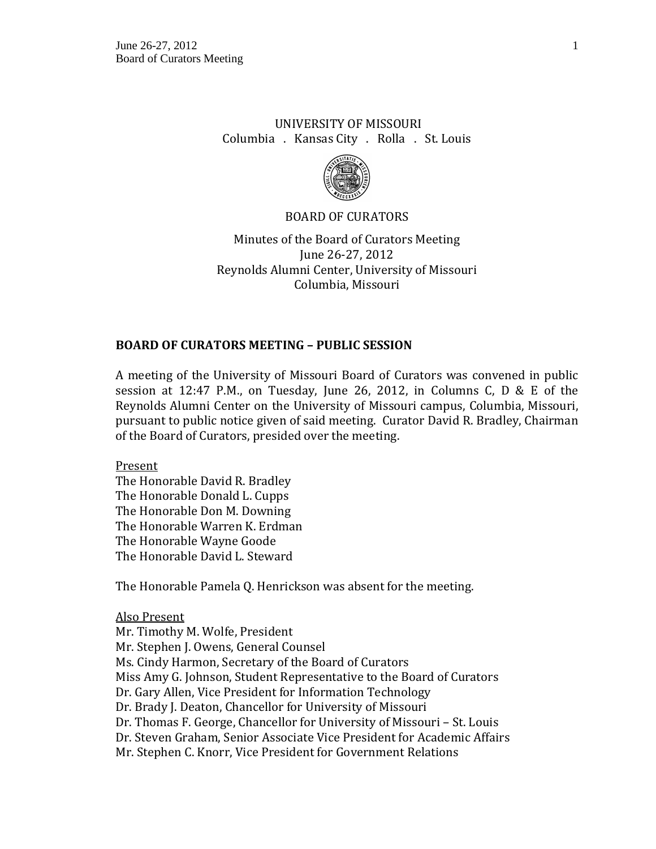# UNIVERSITY OF MISSOURI Columbia . Kansas City . Rolla . St. Louis



### BOARD OF CURATORS

Minutes of the Board of Curators Meeting June 26-27, 2012 Reynolds Alumni Center, University of Missouri Columbia, Missouri

### **BOARD OF CURATORS MEETING – PUBLIC SESSION**

A meeting of the University of Missouri Board of Curators was convened in public session at 12:47 P.M., on Tuesday, June 26, 2012, in Columns C, D & E of the Reynolds Alumni Center on the University of Missouri campus, Columbia, Missouri, pursuant to public notice given of said meeting. Curator David R. Bradley, Chairman of the Board of Curators, presided over the meeting.

Present

The Honorable David R. Bradley The Honorable Donald L. Cupps The Honorable Don M. Downing The Honorable Warren K. Erdman The Honorable Wayne Goode The Honorable David L. Steward

The Honorable Pamela Q. Henrickson was absent for the meeting.

Also Present Mr. Timothy M. Wolfe, President Mr. Stephen J. Owens, General Counsel Ms. Cindy Harmon, Secretary of the Board of Curators Miss Amy G. Johnson, Student Representative to the Board of Curators Dr. Gary Allen, Vice President for Information Technology Dr. Brady J. Deaton, Chancellor for University of Missouri Dr. Thomas F. George, Chancellor for University of Missouri – St. Louis Dr. Steven Graham, Senior Associate Vice President for Academic Affairs Mr. Stephen C. Knorr, Vice President for Government Relations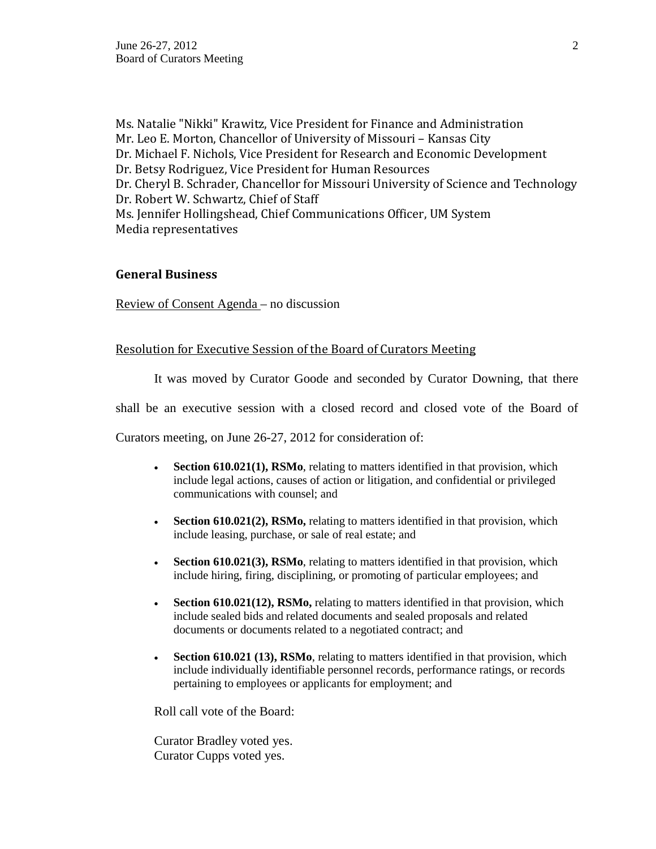Ms. Natalie "Nikki" Krawitz, Vice President for Finance and Administration Mr. Leo E. Morton, Chancellor of University of Missouri – Kansas City Dr. Michael F. Nichols, Vice President for Research and Economic Development Dr. Betsy Rodriguez, Vice President for Human Resources Dr. Cheryl B. Schrader, Chancellor for Missouri University of Science and Technology Dr. Robert W. Schwartz, Chief of Staff Ms. Jennifer Hollingshead, Chief Communications Officer, UM System Media representatives

### **General Business**

Review of Consent Agenda – no discussion

### Resolution for Executive Session of the Board of Curators Meeting

It was moved by Curator Goode and seconded by Curator Downing, that there

shall be an executive session with a closed record and closed vote of the Board of

Curators meeting, on June 26-27, 2012 for consideration of:

- **Section 610.021(1), RSMo**, relating to matters identified in that provision, which include legal actions, causes of action or litigation, and confidential or privileged communications with counsel; and
- **Section 610.021(2), RSMo,** relating to matters identified in that provision, which include leasing, purchase, or sale of real estate; and
- **Section 610.021(3), RSMo**, relating to matters identified in that provision, which include hiring, firing, disciplining, or promoting of particular employees; and
- **Section 610.021(12), RSMo,** relating to matters identified in that provision, which include sealed bids and related documents and sealed proposals and related documents or documents related to a negotiated contract; and
- **Section 610.021 (13), RSMo**, relating to matters identified in that provision, which include individually identifiable personnel records, performance ratings, or records pertaining to employees or applicants for employment; and

Roll call vote of the Board:

Curator Bradley voted yes. Curator Cupps voted yes.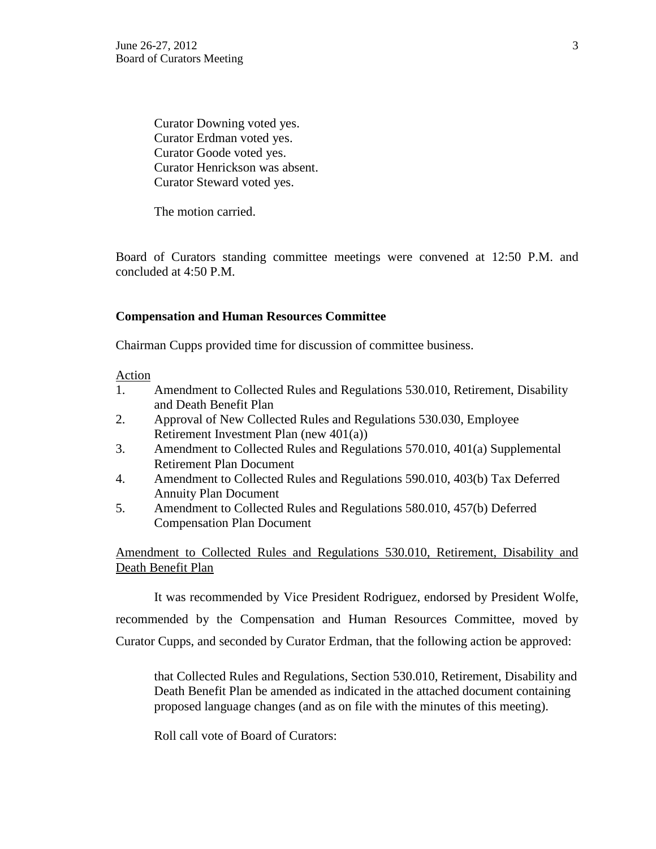Curator Downing voted yes. Curator Erdman voted yes. Curator Goode voted yes. Curator Henrickson was absent. Curator Steward voted yes.

The motion carried.

Board of Curators standing committee meetings were convened at 12:50 P.M. and concluded at 4:50 P.M.

#### **Compensation and Human Resources Committee**

Chairman Cupps provided time for discussion of committee business.

#### Action

- 1. Amendment to Collected Rules and Regulations 530.010, Retirement, Disability and Death Benefit Plan
- 2. Approval of New Collected Rules and Regulations 530.030, Employee Retirement Investment Plan (new 401(a))
- 3. Amendment to Collected Rules and Regulations 570.010, 401(a) Supplemental Retirement Plan Document
- 4. Amendment to Collected Rules and Regulations 590.010, 403(b) Tax Deferred Annuity Plan Document
- 5. Amendment to Collected Rules and Regulations 580.010, 457(b) Deferred Compensation Plan Document

Amendment to Collected Rules and Regulations 530.010, Retirement, Disability and Death Benefit Plan

It was recommended by Vice President Rodriguez, endorsed by President Wolfe, recommended by the Compensation and Human Resources Committee, moved by Curator Cupps, and seconded by Curator Erdman, that the following action be approved:

that Collected Rules and Regulations, Section 530.010, Retirement, Disability and Death Benefit Plan be amended as indicated in the attached document containing proposed language changes (and as on file with the minutes of this meeting).

Roll call vote of Board of Curators: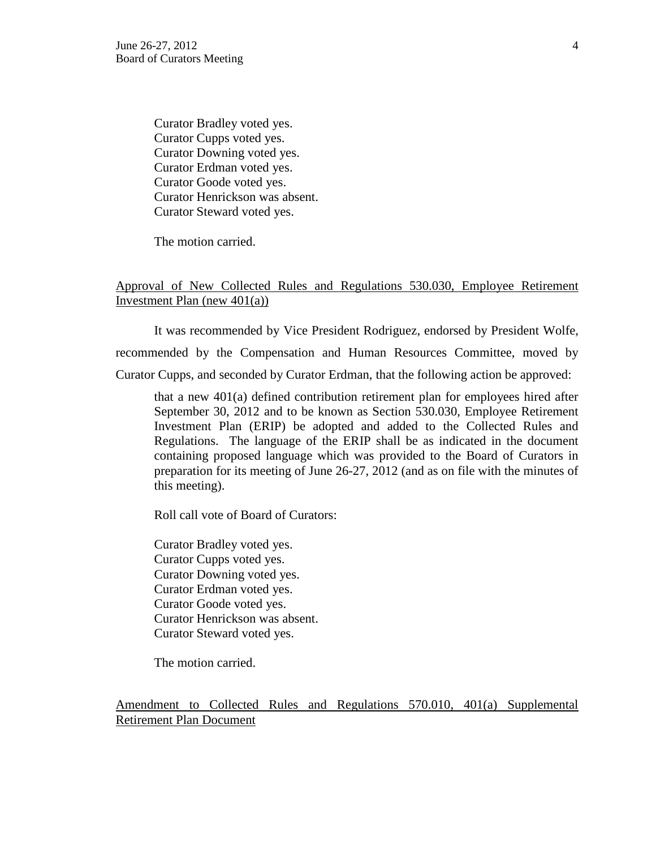Curator Bradley voted yes. Curator Cupps voted yes. Curator Downing voted yes. Curator Erdman voted yes. Curator Goode voted yes. Curator Henrickson was absent. Curator Steward voted yes.

The motion carried.

### Approval of New Collected Rules and Regulations 530.030, Employee Retirement Investment Plan (new 401(a))

It was recommended by Vice President Rodriguez, endorsed by President Wolfe, recommended by the Compensation and Human Resources Committee, moved by Curator Cupps, and seconded by Curator Erdman, that the following action be approved:

that a new 401(a) defined contribution retirement plan for employees hired after September 30, 2012 and to be known as Section 530.030, Employee Retirement Investment Plan (ERIP) be adopted and added to the Collected Rules and Regulations. The language of the ERIP shall be as indicated in the document containing proposed language which was provided to the Board of Curators in preparation for its meeting of June 26-27, 2012 (and as on file with the minutes of this meeting).

Roll call vote of Board of Curators:

Curator Bradley voted yes. Curator Cupps voted yes. Curator Downing voted yes. Curator Erdman voted yes. Curator Goode voted yes. Curator Henrickson was absent. Curator Steward voted yes.

The motion carried.

Amendment to Collected Rules and Regulations 570.010, 401(a) Supplemental Retirement Plan Document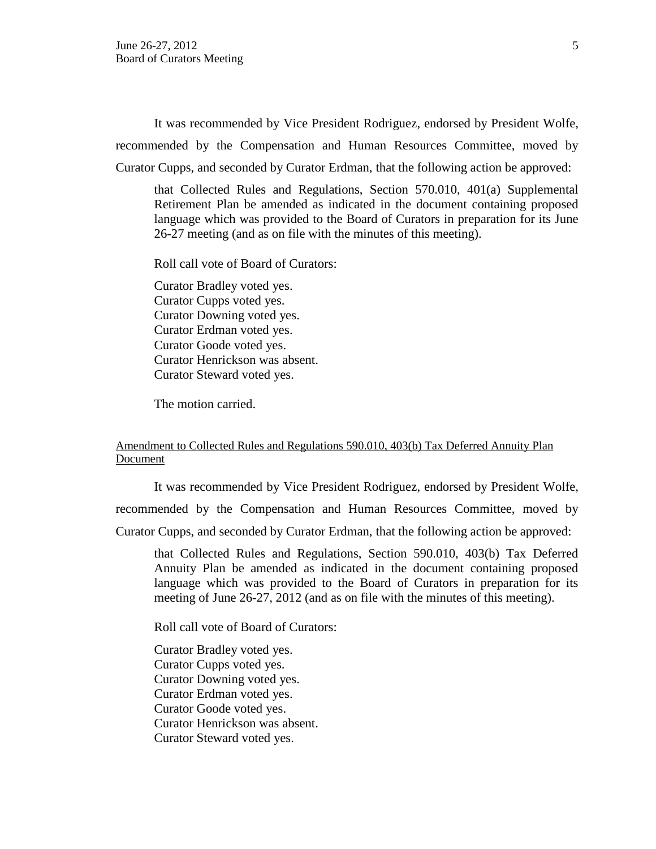It was recommended by Vice President Rodriguez, endorsed by President Wolfe, recommended by the Compensation and Human Resources Committee, moved by Curator Cupps, and seconded by Curator Erdman, that the following action be approved:

that Collected Rules and Regulations, Section 570.010, 401(a) Supplemental Retirement Plan be amended as indicated in the document containing proposed language which was provided to the Board of Curators in preparation for its June 26-27 meeting (and as on file with the minutes of this meeting).

Roll call vote of Board of Curators:

Curator Bradley voted yes. Curator Cupps voted yes. Curator Downing voted yes. Curator Erdman voted yes. Curator Goode voted yes. Curator Henrickson was absent. Curator Steward voted yes.

The motion carried.

### Amendment to Collected Rules and Regulations 590.010, 403(b) Tax Deferred Annuity Plan Document

It was recommended by Vice President Rodriguez, endorsed by President Wolfe, recommended by the Compensation and Human Resources Committee, moved by Curator Cupps, and seconded by Curator Erdman, that the following action be approved:

that Collected Rules and Regulations, Section 590.010, 403(b) Tax Deferred Annuity Plan be amended as indicated in the document containing proposed language which was provided to the Board of Curators in preparation for its meeting of June 26-27, 2012 (and as on file with the minutes of this meeting).

Roll call vote of Board of Curators:

Curator Bradley voted yes. Curator Cupps voted yes. Curator Downing voted yes. Curator Erdman voted yes. Curator Goode voted yes. Curator Henrickson was absent. Curator Steward voted yes.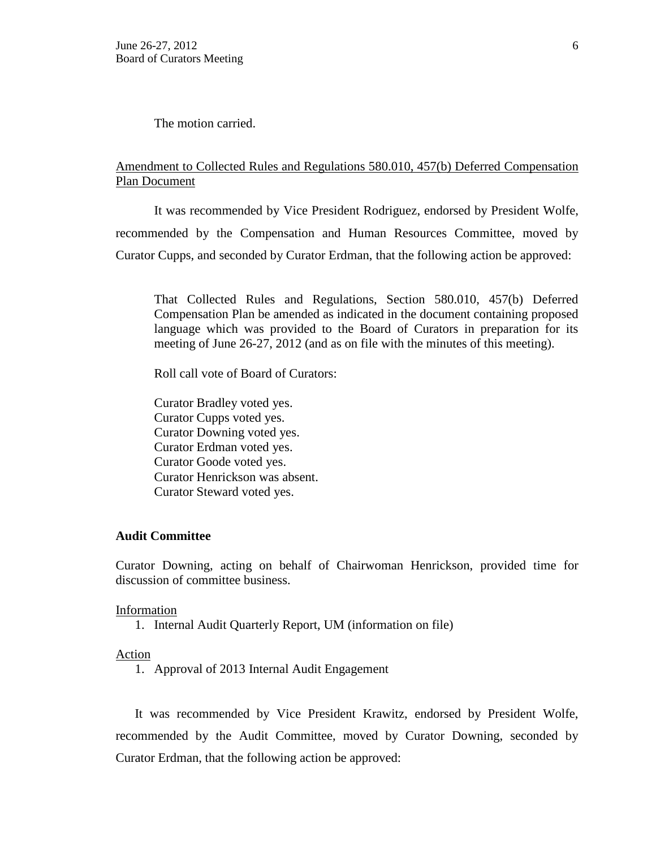The motion carried.

## Amendment to Collected Rules and Regulations 580.010, 457(b) Deferred Compensation Plan Document

It was recommended by Vice President Rodriguez, endorsed by President Wolfe, recommended by the Compensation and Human Resources Committee, moved by Curator Cupps, and seconded by Curator Erdman, that the following action be approved:

That Collected Rules and Regulations, Section 580.010, 457(b) Deferred Compensation Plan be amended as indicated in the document containing proposed language which was provided to the Board of Curators in preparation for its meeting of June 26-27, 2012 (and as on file with the minutes of this meeting).

Roll call vote of Board of Curators:

Curator Bradley voted yes. Curator Cupps voted yes. Curator Downing voted yes. Curator Erdman voted yes. Curator Goode voted yes. Curator Henrickson was absent. Curator Steward voted yes.

### **Audit Committee**

Curator Downing, acting on behalf of Chairwoman Henrickson, provided time for discussion of committee business.

#### Information

1. Internal Audit Quarterly Report, UM (information on file)

#### Action

1. Approval of 2013 Internal Audit Engagement

It was recommended by Vice President Krawitz, endorsed by President Wolfe, recommended by the Audit Committee, moved by Curator Downing, seconded by Curator Erdman, that the following action be approved: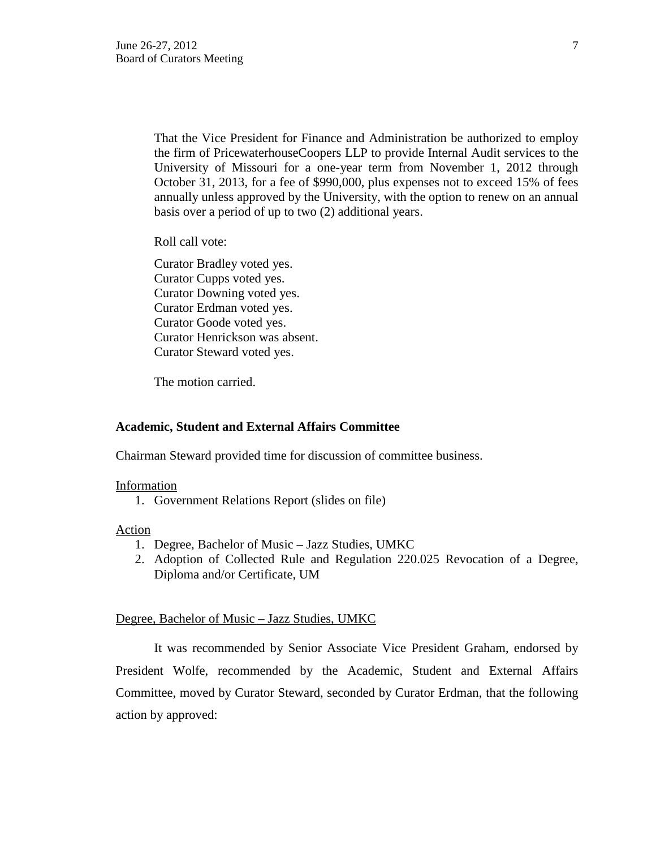That the Vice President for Finance and Administration be authorized to employ the firm of PricewaterhouseCoopers LLP to provide Internal Audit services to the University of Missouri for a one-year term from November 1, 2012 through October 31, 2013, for a fee of \$990,000, plus expenses not to exceed 15% of fees annually unless approved by the University, with the option to renew on an annual basis over a period of up to two (2) additional years.

Roll call vote:

Curator Bradley voted yes. Curator Cupps voted yes. Curator Downing voted yes. Curator Erdman voted yes. Curator Goode voted yes. Curator Henrickson was absent. Curator Steward voted yes.

The motion carried.

#### **Academic, Student and External Affairs Committee**

Chairman Steward provided time for discussion of committee business.

#### Information

1. Government Relations Report (slides on file)

Action

- 1. Degree, Bachelor of Music Jazz Studies, UMKC
- 2. Adoption of Collected Rule and Regulation 220.025 Revocation of a Degree, Diploma and/or Certificate, UM

### Degree, Bachelor of Music – Jazz Studies, UMKC

It was recommended by Senior Associate Vice President Graham, endorsed by President Wolfe, recommended by the Academic, Student and External Affairs Committee, moved by Curator Steward, seconded by Curator Erdman, that the following action by approved: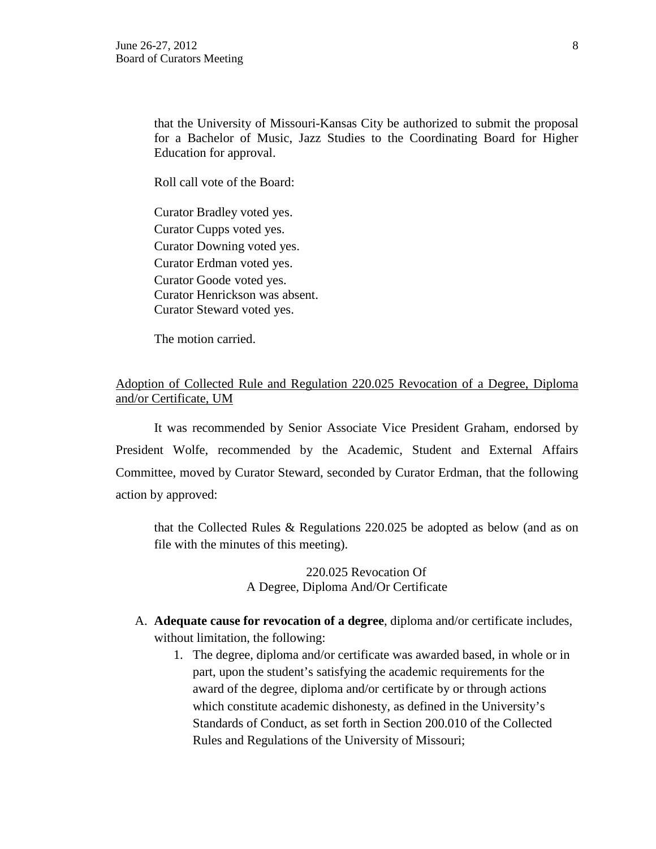that the University of Missouri-Kansas City be authorized to submit the proposal for a Bachelor of Music, Jazz Studies to the Coordinating Board for Higher Education for approval.

Roll call vote of the Board:

Curator Bradley voted yes. Curator Cupps voted yes. Curator Downing voted yes. Curator Erdman voted yes. Curator Goode voted yes. Curator Henrickson was absent. Curator Steward voted yes.

The motion carried.

## Adoption of Collected Rule and Regulation 220.025 Revocation of a Degree, Diploma and/or Certificate, UM

It was recommended by Senior Associate Vice President Graham, endorsed by President Wolfe, recommended by the Academic, Student and External Affairs Committee, moved by Curator Steward, seconded by Curator Erdman, that the following action by approved:

that the Collected Rules & Regulations 220.025 be adopted as below (and as on file with the minutes of this meeting).

> 220.025 Revocation Of A Degree, Diploma And/Or Certificate

- A. **Adequate cause for revocation of a degree**, diploma and/or certificate includes, without limitation, the following:
	- 1. The degree, diploma and/or certificate was awarded based, in whole or in part, upon the student's satisfying the academic requirements for the award of the degree, diploma and/or certificate by or through actions which constitute academic dishonesty, as defined in the University's Standards of Conduct, as set forth in Section 200.010 of the Collected Rules and Regulations of the University of Missouri;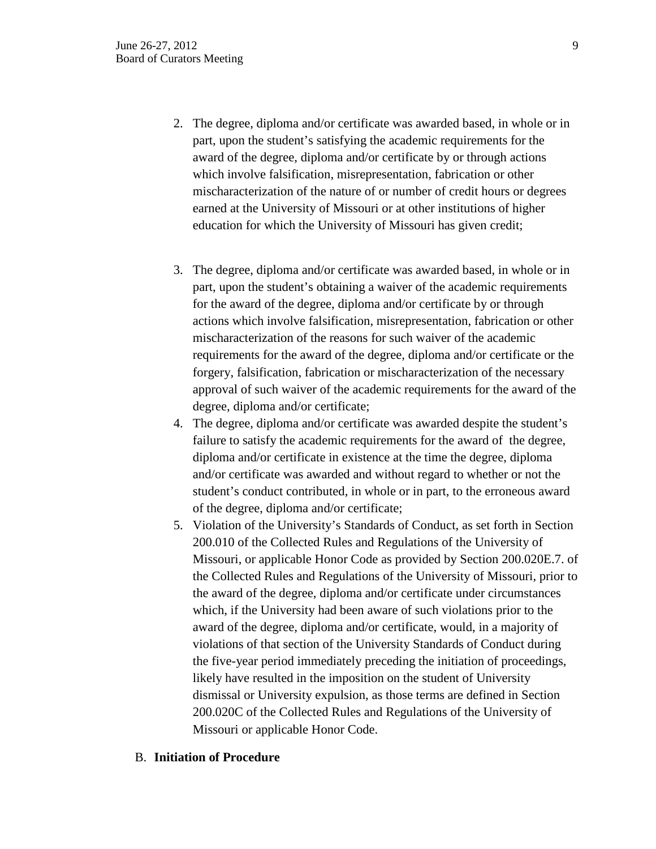- 2. The degree, diploma and/or certificate was awarded based, in whole or in part, upon the student's satisfying the academic requirements for the award of the degree, diploma and/or certificate by or through actions which involve falsification, misrepresentation, fabrication or other mischaracterization of the nature of or number of credit hours or degrees earned at the University of Missouri or at other institutions of higher education for which the University of Missouri has given credit;
- 3. The degree, diploma and/or certificate was awarded based, in whole or in part, upon the student's obtaining a waiver of the academic requirements for the award of the degree, diploma and/or certificate by or through actions which involve falsification, misrepresentation, fabrication or other mischaracterization of the reasons for such waiver of the academic requirements for the award of the degree, diploma and/or certificate or the forgery, falsification, fabrication or mischaracterization of the necessary approval of such waiver of the academic requirements for the award of the degree, diploma and/or certificate;
- 4. The degree, diploma and/or certificate was awarded despite the student's failure to satisfy the academic requirements for the award of the degree, diploma and/or certificate in existence at the time the degree, diploma and/or certificate was awarded and without regard to whether or not the student's conduct contributed, in whole or in part, to the erroneous award of the degree, diploma and/or certificate;
- 5. Violation of the University's Standards of Conduct, as set forth in Section 200.010 of the Collected Rules and Regulations of the University of Missouri, or applicable Honor Code as provided by Section 200.020E.7. of the Collected Rules and Regulations of the University of Missouri, prior to the award of the degree, diploma and/or certificate under circumstances which, if the University had been aware of such violations prior to the award of the degree, diploma and/or certificate, would, in a majority of violations of that section of the University Standards of Conduct during the five-year period immediately preceding the initiation of proceedings, likely have resulted in the imposition on the student of University dismissal or University expulsion, as those terms are defined in Section 200.020C of the Collected Rules and Regulations of the University of Missouri or applicable Honor Code.

#### B. **Initiation of Procedure**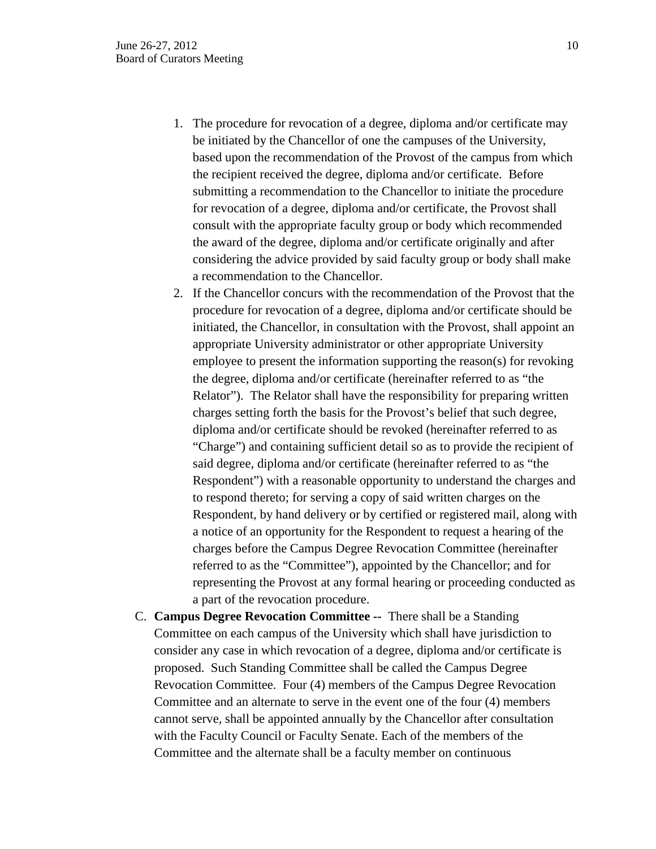- 1. The procedure for revocation of a degree, diploma and/or certificate may be initiated by the Chancellor of one the campuses of the University, based upon the recommendation of the Provost of the campus from which the recipient received the degree, diploma and/or certificate. Before submitting a recommendation to the Chancellor to initiate the procedure for revocation of a degree, diploma and/or certificate, the Provost shall consult with the appropriate faculty group or body which recommended the award of the degree, diploma and/or certificate originally and after considering the advice provided by said faculty group or body shall make a recommendation to the Chancellor.
- 2. If the Chancellor concurs with the recommendation of the Provost that the procedure for revocation of a degree, diploma and/or certificate should be initiated, the Chancellor, in consultation with the Provost, shall appoint an appropriate University administrator or other appropriate University employee to present the information supporting the reason(s) for revoking the degree, diploma and/or certificate (hereinafter referred to as "the Relator"). The Relator shall have the responsibility for preparing written charges setting forth the basis for the Provost's belief that such degree, diploma and/or certificate should be revoked (hereinafter referred to as "Charge") and containing sufficient detail so as to provide the recipient of said degree, diploma and/or certificate (hereinafter referred to as "the Respondent") with a reasonable opportunity to understand the charges and to respond thereto; for serving a copy of said written charges on the Respondent, by hand delivery or by certified or registered mail, along with a notice of an opportunity for the Respondent to request a hearing of the charges before the Campus Degree Revocation Committee (hereinafter referred to as the "Committee"), appointed by the Chancellor; and for representing the Provost at any formal hearing or proceeding conducted as a part of the revocation procedure.
- C. **Campus Degree Revocation Committee --** There shall be a Standing Committee on each campus of the University which shall have jurisdiction to consider any case in which revocation of a degree, diploma and/or certificate is proposed. Such Standing Committee shall be called the Campus Degree Revocation Committee. Four (4) members of the Campus Degree Revocation Committee and an alternate to serve in the event one of the four (4) members cannot serve, shall be appointed annually by the Chancellor after consultation with the Faculty Council or Faculty Senate. Each of the members of the Committee and the alternate shall be a faculty member on continuous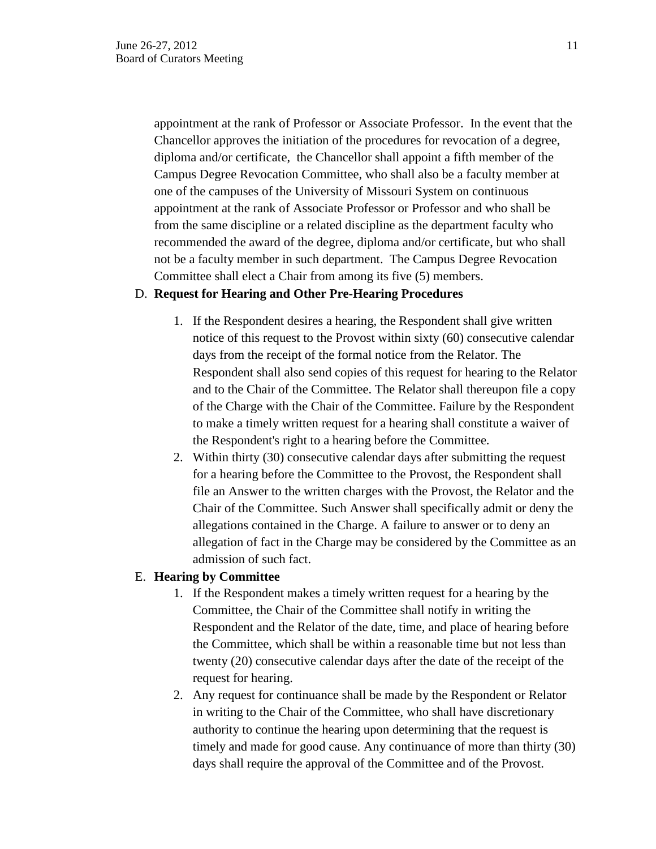appointment at the rank of Professor or Associate Professor. In the event that the Chancellor approves the initiation of the procedures for revocation of a degree, diploma and/or certificate, the Chancellor shall appoint a fifth member of the Campus Degree Revocation Committee, who shall also be a faculty member at one of the campuses of the University of Missouri System on continuous appointment at the rank of Associate Professor or Professor and who shall be from the same discipline or a related discipline as the department faculty who recommended the award of the degree, diploma and/or certificate, but who shall not be a faculty member in such department. The Campus Degree Revocation Committee shall elect a Chair from among its five (5) members.

#### D. **Request for Hearing and Other Pre-Hearing Procedures**

- 1. If the Respondent desires a hearing, the Respondent shall give written notice of this request to the Provost within sixty (60) consecutive calendar days from the receipt of the formal notice from the Relator. The Respondent shall also send copies of this request for hearing to the Relator and to the Chair of the Committee. The Relator shall thereupon file a copy of the Charge with the Chair of the Committee. Failure by the Respondent to make a timely written request for a hearing shall constitute a waiver of the Respondent's right to a hearing before the Committee.
- 2. Within thirty (30) consecutive calendar days after submitting the request for a hearing before the Committee to the Provost, the Respondent shall file an Answer to the written charges with the Provost, the Relator and the Chair of the Committee. Such Answer shall specifically admit or deny the allegations contained in the Charge. A failure to answer or to deny an allegation of fact in the Charge may be considered by the Committee as an admission of such fact.

#### E. **Hearing by Committee**

- 1. If the Respondent makes a timely written request for a hearing by the Committee, the Chair of the Committee shall notify in writing the Respondent and the Relator of the date, time, and place of hearing before the Committee, which shall be within a reasonable time but not less than twenty (20) consecutive calendar days after the date of the receipt of the request for hearing.
- 2. Any request for continuance shall be made by the Respondent or Relator in writing to the Chair of the Committee, who shall have discretionary authority to continue the hearing upon determining that the request is timely and made for good cause. Any continuance of more than thirty (30) days shall require the approval of the Committee and of the Provost.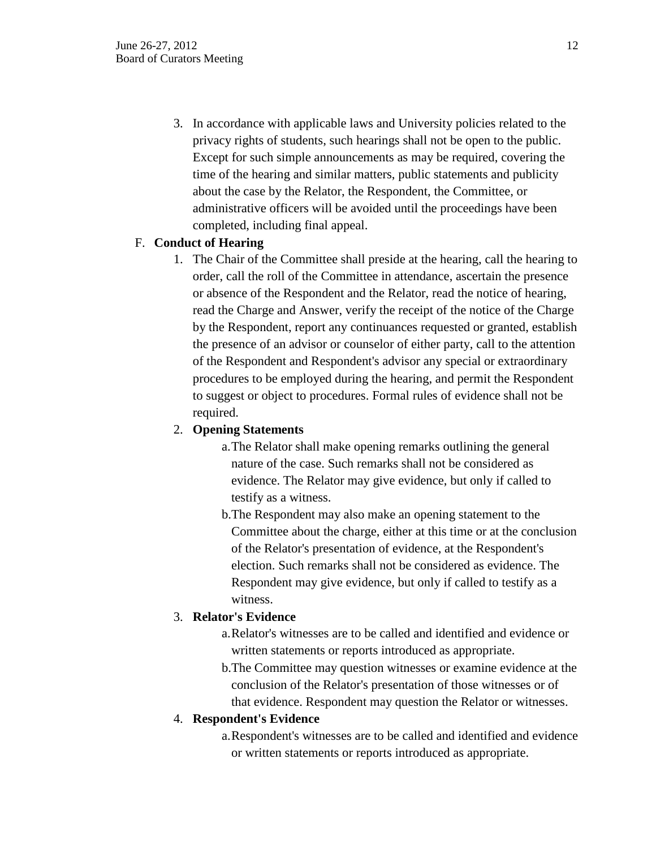3. In accordance with applicable laws and University policies related to the privacy rights of students, such hearings shall not be open to the public. Except for such simple announcements as may be required, covering the time of the hearing and similar matters, public statements and publicity about the case by the Relator, the Respondent, the Committee, or administrative officers will be avoided until the proceedings have been completed, including final appeal.

## F. **Conduct of Hearing**

1. The Chair of the Committee shall preside at the hearing, call the hearing to order, call the roll of the Committee in attendance, ascertain the presence or absence of the Respondent and the Relator, read the notice of hearing, read the Charge and Answer, verify the receipt of the notice of the Charge by the Respondent, report any continuances requested or granted, establish the presence of an advisor or counselor of either party, call to the attention of the Respondent and Respondent's advisor any special or extraordinary procedures to be employed during the hearing, and permit the Respondent to suggest or object to procedures. Formal rules of evidence shall not be required.

# 2. **Opening Statements**

- a.The Relator shall make opening remarks outlining the general nature of the case. Such remarks shall not be considered as evidence. The Relator may give evidence, but only if called to testify as a witness.
- b.The Respondent may also make an opening statement to the Committee about the charge, either at this time or at the conclusion of the Relator's presentation of evidence, at the Respondent's election. Such remarks shall not be considered as evidence. The Respondent may give evidence, but only if called to testify as a witness.

# 3. **Relator's Evidence**

- a.Relator's witnesses are to be called and identified and evidence or written statements or reports introduced as appropriate.
- b.The Committee may question witnesses or examine evidence at the conclusion of the Relator's presentation of those witnesses or of that evidence. Respondent may question the Relator or witnesses.

# 4. **Respondent's Evidence**

a.Respondent's witnesses are to be called and identified and evidence or written statements or reports introduced as appropriate.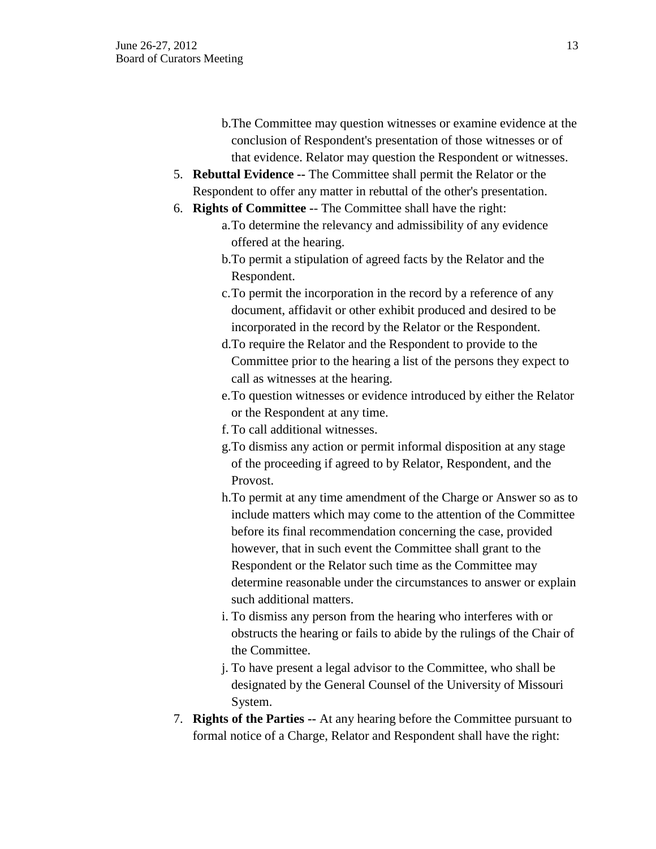- b.The Committee may question witnesses or examine evidence at the conclusion of Respondent's presentation of those witnesses or of that evidence. Relator may question the Respondent or witnesses.
- 5. **Rebuttal Evidence --** The Committee shall permit the Relator or the Respondent to offer any matter in rebuttal of the other's presentation.
- 6. **Rights of Committee -** The Committee shall have the right:
	- a.To determine the relevancy and admissibility of any evidence offered at the hearing.
		- b.To permit a stipulation of agreed facts by the Relator and the Respondent.
		- c.To permit the incorporation in the record by a reference of any document, affidavit or other exhibit produced and desired to be incorporated in the record by the Relator or the Respondent.
		- d.To require the Relator and the Respondent to provide to the Committee prior to the hearing a list of the persons they expect to call as witnesses at the hearing.
		- e.To question witnesses or evidence introduced by either the Relator or the Respondent at any time.
		- f. To call additional witnesses.
		- g.To dismiss any action or permit informal disposition at any stage of the proceeding if agreed to by Relator, Respondent, and the Provost.
		- h.To permit at any time amendment of the Charge or Answer so as to include matters which may come to the attention of the Committee before its final recommendation concerning the case, provided however, that in such event the Committee shall grant to the Respondent or the Relator such time as the Committee may determine reasonable under the circumstances to answer or explain such additional matters.
		- i. To dismiss any person from the hearing who interferes with or obstructs the hearing or fails to abide by the rulings of the Chair of the Committee.
		- j. To have present a legal advisor to the Committee, who shall be designated by the General Counsel of the University of Missouri System.
- 7. **Rights of the Parties --** At any hearing before the Committee pursuant to formal notice of a Charge, Relator and Respondent shall have the right: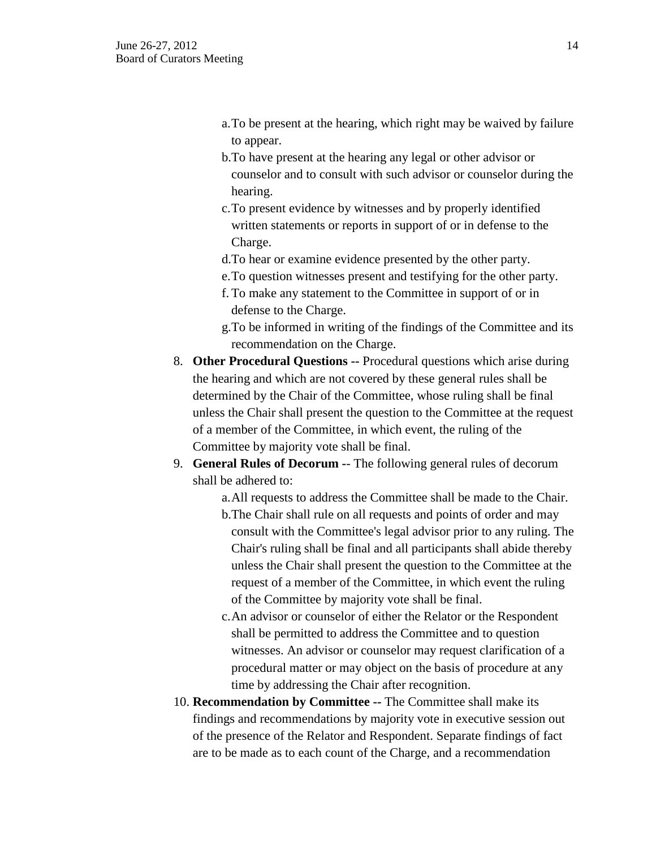- a.To be present at the hearing, which right may be waived by failure to appear.
- b.To have present at the hearing any legal or other advisor or counselor and to consult with such advisor or counselor during the hearing.
- c.To present evidence by witnesses and by properly identified written statements or reports in support of or in defense to the Charge.
- d.To hear or examine evidence presented by the other party.
- e.To question witnesses present and testifying for the other party.
- f. To make any statement to the Committee in support of or in defense to the Charge.
- g.To be informed in writing of the findings of the Committee and its recommendation on the Charge.
- 8. **Other Procedural Questions --** Procedural questions which arise during the hearing and which are not covered by these general rules shall be determined by the Chair of the Committee, whose ruling shall be final unless the Chair shall present the question to the Committee at the request of a member of the Committee, in which event, the ruling of the Committee by majority vote shall be final.
- 9. **General Rules of Decorum -** The following general rules of decorum shall be adhered to:
	- a.All requests to address the Committee shall be made to the Chair.
	- b.The Chair shall rule on all requests and points of order and may consult with the Committee's legal advisor prior to any ruling. The Chair's ruling shall be final and all participants shall abide thereby unless the Chair shall present the question to the Committee at the request of a member of the Committee, in which event the ruling of the Committee by majority vote shall be final.
	- c.An advisor or counselor of either the Relator or the Respondent shall be permitted to address the Committee and to question witnesses. An advisor or counselor may request clarification of a procedural matter or may object on the basis of procedure at any time by addressing the Chair after recognition.
- 10. **Recommendation by Committee --** The Committee shall make its findings and recommendations by majority vote in executive session out of the presence of the Relator and Respondent. Separate findings of fact are to be made as to each count of the Charge, and a recommendation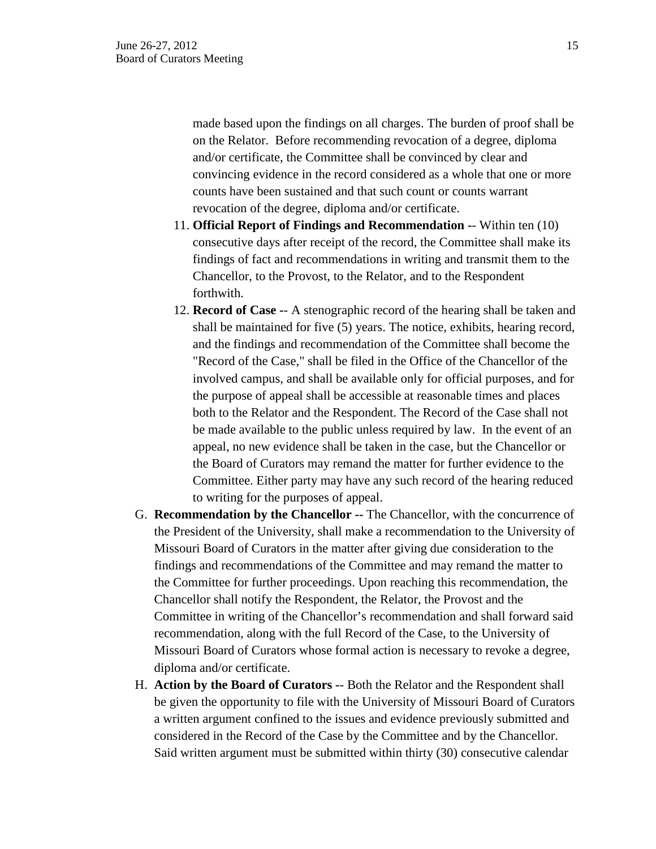made based upon the findings on all charges. The burden of proof shall be on the Relator. Before recommending revocation of a degree, diploma and/or certificate, the Committee shall be convinced by clear and convincing evidence in the record considered as a whole that one or more counts have been sustained and that such count or counts warrant revocation of the degree, diploma and/or certificate.

- 11. **Official Report of Findings and Recommendation -** Within ten (10) consecutive days after receipt of the record, the Committee shall make its findings of fact and recommendations in writing and transmit them to the Chancellor, to the Provost, to the Relator, and to the Respondent forthwith.
- 12. **Record of Case -** A stenographic record of the hearing shall be taken and shall be maintained for five (5) years. The notice, exhibits, hearing record, and the findings and recommendation of the Committee shall become the "Record of the Case," shall be filed in the Office of the Chancellor of the involved campus, and shall be available only for official purposes, and for the purpose of appeal shall be accessible at reasonable times and places both to the Relator and the Respondent. The Record of the Case shall not be made available to the public unless required by law. In the event of an appeal, no new evidence shall be taken in the case, but the Chancellor or the Board of Curators may remand the matter for further evidence to the Committee. Either party may have any such record of the hearing reduced to writing for the purposes of appeal.
- G. **Recommendation by the Chancellor --** The Chancellor, with the concurrence of the President of the University, shall make a recommendation to the University of Missouri Board of Curators in the matter after giving due consideration to the findings and recommendations of the Committee and may remand the matter to the Committee for further proceedings. Upon reaching this recommendation, the Chancellor shall notify the Respondent, the Relator, the Provost and the Committee in writing of the Chancellor's recommendation and shall forward said recommendation, along with the full Record of the Case, to the University of Missouri Board of Curators whose formal action is necessary to revoke a degree, diploma and/or certificate.
- H. **Action by the Board of Curators -** Both the Relator and the Respondent shall be given the opportunity to file with the University of Missouri Board of Curators a written argument confined to the issues and evidence previously submitted and considered in the Record of the Case by the Committee and by the Chancellor. Said written argument must be submitted within thirty (30) consecutive calendar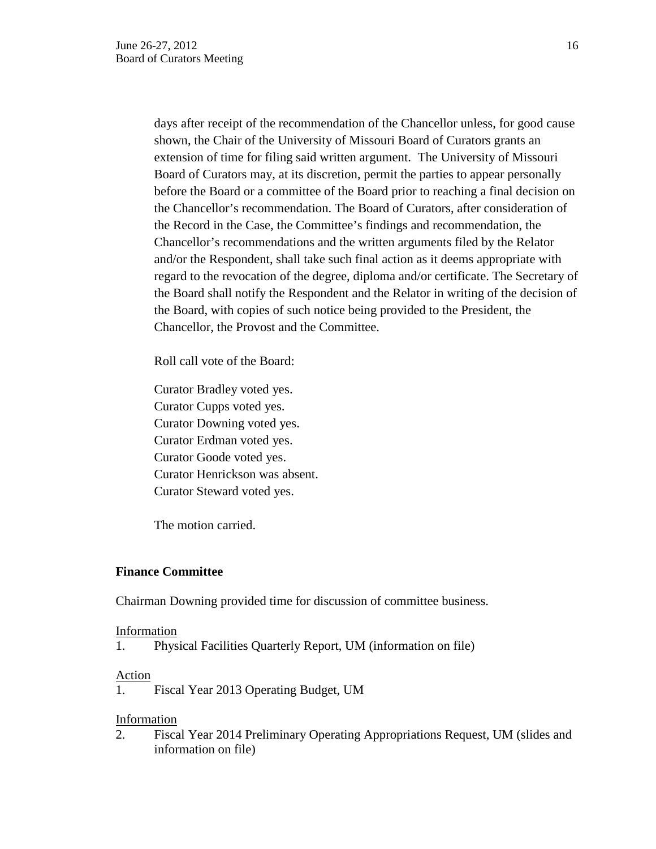days after receipt of the recommendation of the Chancellor unless, for good cause shown, the Chair of the University of Missouri Board of Curators grants an extension of time for filing said written argument. The University of Missouri Board of Curators may, at its discretion, permit the parties to appear personally before the Board or a committee of the Board prior to reaching a final decision on the Chancellor's recommendation. The Board of Curators, after consideration of the Record in the Case, the Committee's findings and recommendation, the Chancellor's recommendations and the written arguments filed by the Relator and/or the Respondent, shall take such final action as it deems appropriate with regard to the revocation of the degree, diploma and/or certificate. The Secretary of the Board shall notify the Respondent and the Relator in writing of the decision of the Board, with copies of such notice being provided to the President, the Chancellor, the Provost and the Committee.

Roll call vote of the Board:

Curator Bradley voted yes. Curator Cupps voted yes. Curator Downing voted yes. Curator Erdman voted yes. Curator Goode voted yes. Curator Henrickson was absent. Curator Steward voted yes.

The motion carried.

### **Finance Committee**

Chairman Downing provided time for discussion of committee business.

#### Information

1. Physical Facilities Quarterly Report, UM (information on file)

#### Action

1. Fiscal Year 2013 Operating Budget, UM

#### Information

2. Fiscal Year 2014 Preliminary Operating Appropriations Request, UM (slides and information on file)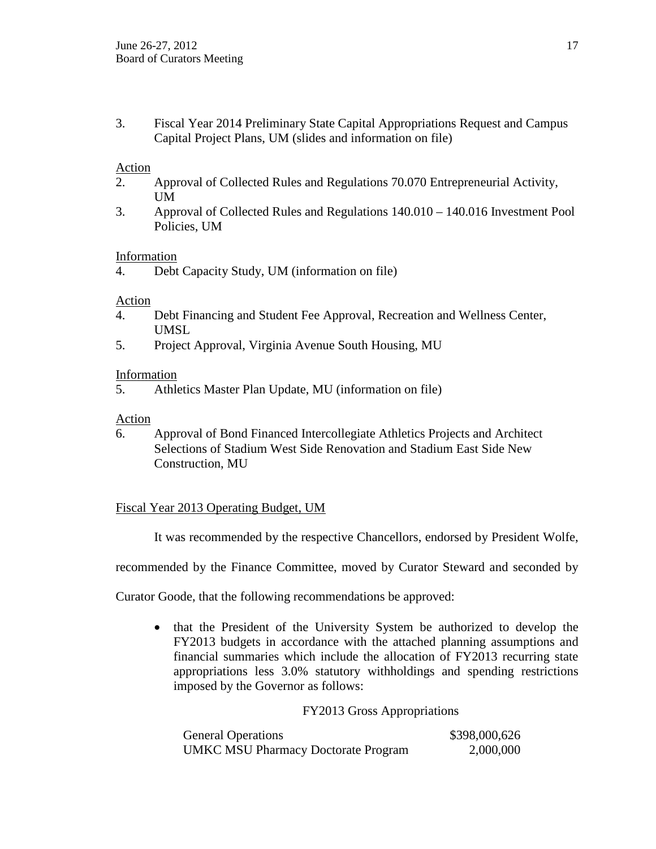3. Fiscal Year 2014 Preliminary State Capital Appropriations Request and Campus Capital Project Plans, UM (slides and information on file)

## Action

- 2. Approval of Collected Rules and Regulations 70.070 Entrepreneurial Activity, UM
- 3. Approval of Collected Rules and Regulations 140.010 140.016 Investment Pool Policies, UM

## Information

## Action

- 4. Debt Financing and Student Fee Approval, Recreation and Wellness Center, UMSL
- 5. Project Approval, Virginia Avenue South Housing, MU

### Information

5. Athletics Master Plan Update, MU (information on file)

## Action

6. Approval of Bond Financed Intercollegiate Athletics Projects and Architect Selections of Stadium West Side Renovation and Stadium East Side New Construction, MU

# Fiscal Year 2013 Operating Budget, UM

It was recommended by the respective Chancellors, endorsed by President Wolfe,

recommended by the Finance Committee, moved by Curator Steward and seconded by

Curator Goode, that the following recommendations be approved:

• that the President of the University System be authorized to develop the FY2013 budgets in accordance with the attached planning assumptions and financial summaries which include the allocation of FY2013 recurring state appropriations less 3.0% statutory withholdings and spending restrictions imposed by the Governor as follows:

### FY2013 Gross Appropriations

| <b>General Operations</b>                  | \$398,000,626 |
|--------------------------------------------|---------------|
| <b>UMKC MSU Pharmacy Doctorate Program</b> | 2,000,000     |

<sup>4.</sup> Debt Capacity Study, UM (information on file)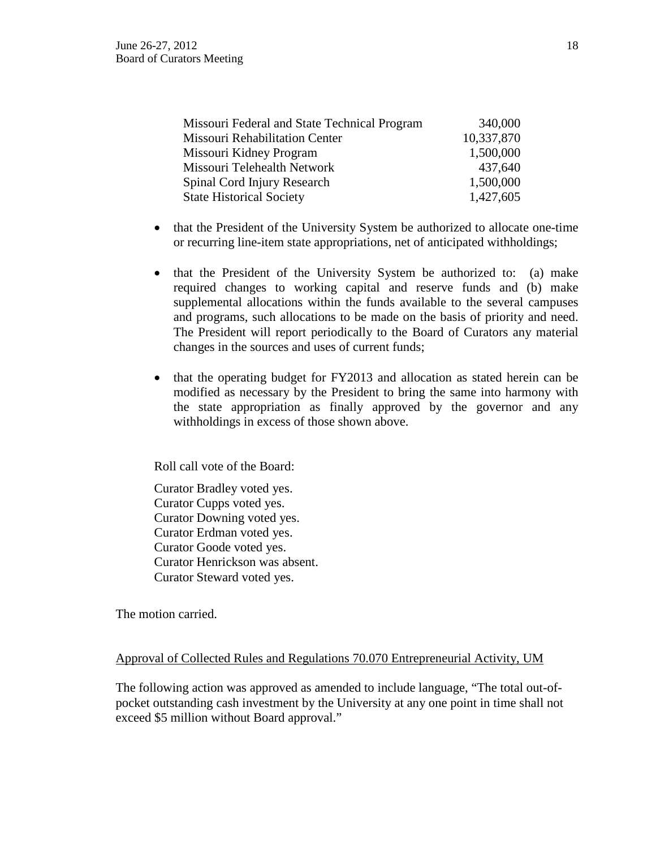| Missouri Federal and State Technical Program | 340,000    |
|----------------------------------------------|------------|
| Missouri Rehabilitation Center               | 10,337,870 |
| Missouri Kidney Program                      | 1,500,000  |
| Missouri Telehealth Network                  | 437,640    |
| Spinal Cord Injury Research                  | 1,500,000  |
| <b>State Historical Society</b>              | 1,427,605  |

- that the President of the University System be authorized to allocate one-time or recurring line-item state appropriations, net of anticipated withholdings;
- that the President of the University System be authorized to: (a) make required changes to working capital and reserve funds and (b) make supplemental allocations within the funds available to the several campuses and programs, such allocations to be made on the basis of priority and need. The President will report periodically to the Board of Curators any material changes in the sources and uses of current funds;
- that the operating budget for FY2013 and allocation as stated herein can be modified as necessary by the President to bring the same into harmony with the state appropriation as finally approved by the governor and any withholdings in excess of those shown above.

Roll call vote of the Board:

Curator Bradley voted yes. Curator Cupps voted yes. Curator Downing voted yes. Curator Erdman voted yes. Curator Goode voted yes. Curator Henrickson was absent. Curator Steward voted yes.

The motion carried.

### Approval of Collected Rules and Regulations 70.070 Entrepreneurial Activity, UM

The following action was approved as amended to include language, "The total out-ofpocket outstanding cash investment by the University at any one point in time shall not exceed \$5 million without Board approval."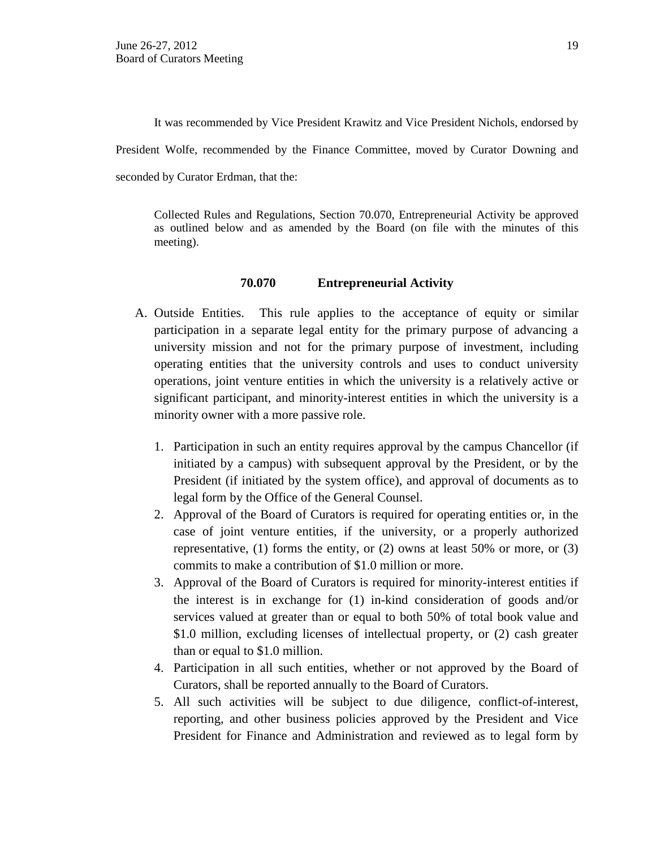It was recommended by Vice President Krawitz and Vice President Nichols, endorsed by President Wolfe, recommended by the Finance Committee, moved by Curator Downing and seconded by Curator Erdman, that the:

Collected Rules and Regulations, Section 70.070, Entrepreneurial Activity be approved as outlined below and as amended by the Board (on file with the minutes of this meeting).

### **70.070 Entrepreneurial Activity**

- A. Outside Entities. This rule applies to the acceptance of equity or similar participation in a separate legal entity for the primary purpose of advancing a university mission and not for the primary purpose of investment, including operating entities that the university controls and uses to conduct university operations, joint venture entities in which the university is a relatively active or significant participant, and minority-interest entities in which the university is a minority owner with a more passive role.
	- 1. Participation in such an entity requires approval by the campus Chancellor (if initiated by a campus) with subsequent approval by the President, or by the President (if initiated by the system office), and approval of documents as to legal form by the Office of the General Counsel.
	- 2. Approval of the Board of Curators is required for operating entities or, in the case of joint venture entities, if the university, or a properly authorized representative,  $(1)$  forms the entity, or  $(2)$  owns at least 50% or more, or  $(3)$ commits to make a contribution of \$1.0 million or more.
	- 3. Approval of the Board of Curators is required for minority-interest entities if the interest is in exchange for (1) in-kind consideration of goods and/or services valued at greater than or equal to both 50% of total book value and \$1.0 million, excluding licenses of intellectual property, or (2) cash greater than or equal to \$1.0 million.
	- 4. Participation in all such entities, whether or not approved by the Board of Curators, shall be reported annually to the Board of Curators.
	- 5. All such activities will be subject to due diligence, conflict-of-interest, reporting, and other business policies approved by the President and Vice President for Finance and Administration and reviewed as to legal form by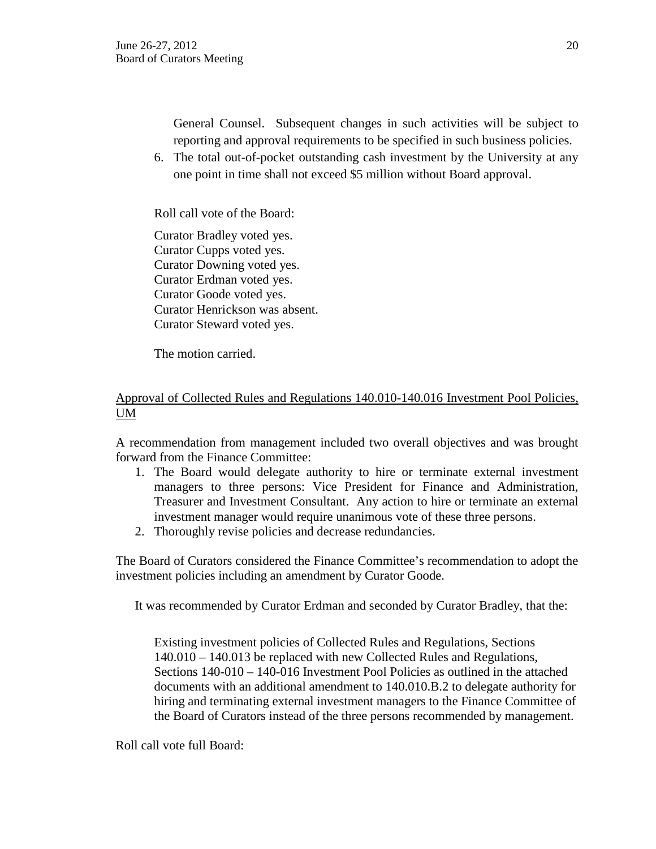General Counsel. Subsequent changes in such activities will be subject to reporting and approval requirements to be specified in such business policies.

6. The total out-of-pocket outstanding cash investment by the University at any one point in time shall not exceed \$5 million without Board approval.

Roll call vote of the Board:

Curator Bradley voted yes. Curator Cupps voted yes. Curator Downing voted yes. Curator Erdman voted yes. Curator Goode voted yes. Curator Henrickson was absent. Curator Steward voted yes.

The motion carried.

# Approval of Collected Rules and Regulations 140.010-140.016 Investment Pool Policies, UM

A recommendation from management included two overall objectives and was brought forward from the Finance Committee:

- 1. The Board would delegate authority to hire or terminate external investment managers to three persons: Vice President for Finance and Administration, Treasurer and Investment Consultant. Any action to hire or terminate an external investment manager would require unanimous vote of these three persons.
- 2. Thoroughly revise policies and decrease redundancies.

The Board of Curators considered the Finance Committee's recommendation to adopt the investment policies including an amendment by Curator Goode.

It was recommended by Curator Erdman and seconded by Curator Bradley, that the:

Existing investment policies of Collected Rules and Regulations, Sections 140.010 – 140.013 be replaced with new Collected Rules and Regulations, Sections 140-010 – 140-016 Investment Pool Policies as outlined in the attached documents with an additional amendment to 140.010.B.2 to delegate authority for hiring and terminating external investment managers to the Finance Committee of the Board of Curators instead of the three persons recommended by management.

Roll call vote full Board: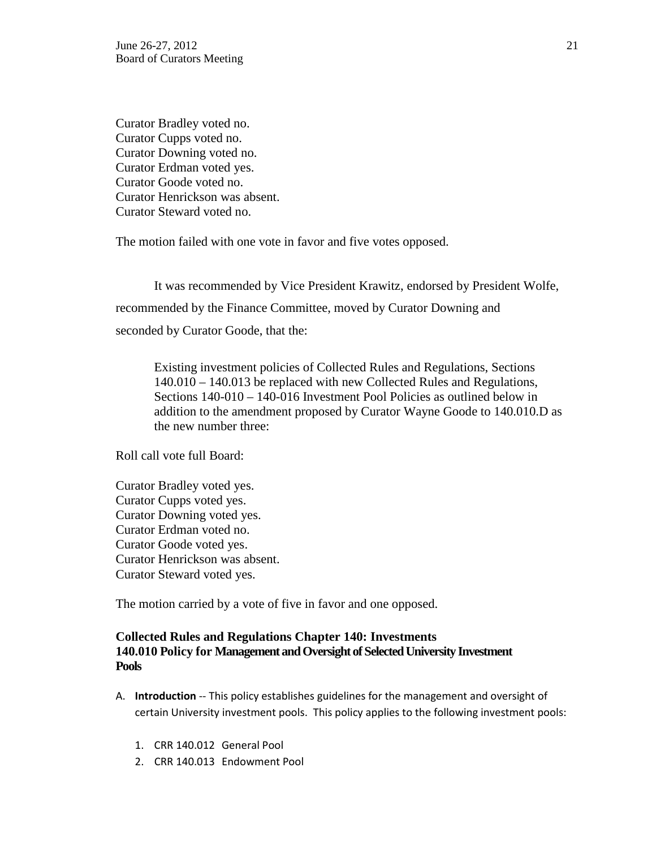Curator Bradley voted no. Curator Cupps voted no. Curator Downing voted no. Curator Erdman voted yes. Curator Goode voted no. Curator Henrickson was absent. Curator Steward voted no.

The motion failed with one vote in favor and five votes opposed.

It was recommended by Vice President Krawitz, endorsed by President Wolfe, recommended by the Finance Committee, moved by Curator Downing and seconded by Curator Goode, that the:

Existing investment policies of Collected Rules and Regulations, Sections 140.010 – 140.013 be replaced with new Collected Rules and Regulations, Sections 140-010 – 140-016 Investment Pool Policies as outlined below in addition to the amendment proposed by Curator Wayne Goode to 140.010.D as the new number three:

Roll call vote full Board:

Curator Bradley voted yes. Curator Cupps voted yes. Curator Downing voted yes. Curator Erdman voted no. Curator Goode voted yes. Curator Henrickson was absent. Curator Steward voted yes.

The motion carried by a vote of five in favor and one opposed.

## **Collected Rules and Regulations Chapter 140: Investments 140.010 Policy for Management and Oversight of Selected University Investment Pools**

- A. **Introduction** -- This policy establishes guidelines for the management and oversight of certain University investment pools. This policy applies to the following investment pools:
	- 1. CRR 140.012 General Pool
	- 2. CRR 140.013 Endowment Pool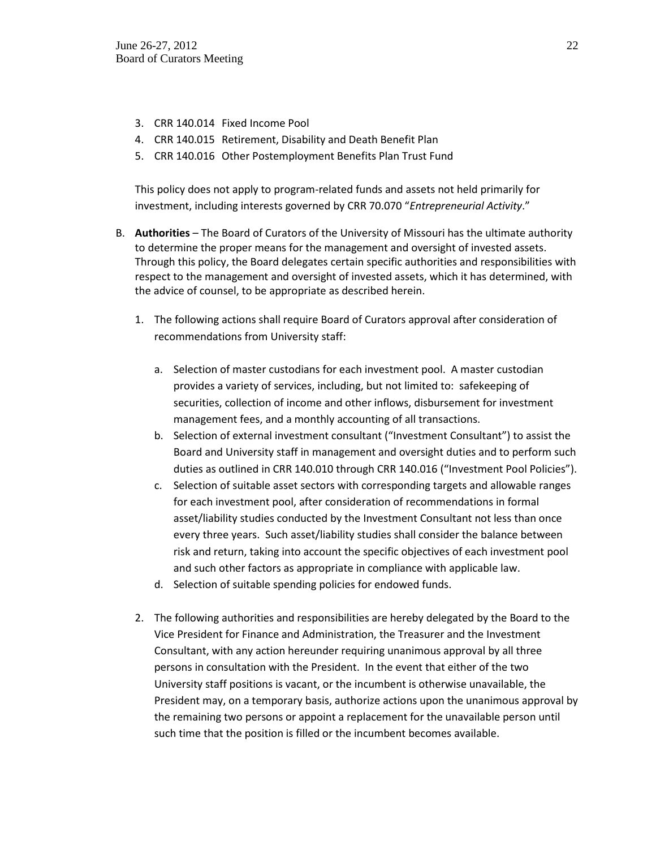- 3. CRR 140.014 Fixed Income Pool
- 4. CRR 140.015 Retirement, Disability and Death Benefit Plan
- 5. CRR 140.016 Other Postemployment Benefits Plan Trust Fund

This policy does not apply to program-related funds and assets not held primarily for investment, including interests governed by CRR 70.070 "*Entrepreneurial Activity*."

- B. **Authorities** The Board of Curators of the University of Missouri has the ultimate authority to determine the proper means for the management and oversight of invested assets. Through this policy, the Board delegates certain specific authorities and responsibilities with respect to the management and oversight of invested assets, which it has determined, with the advice of counsel, to be appropriate as described herein.
	- 1. The following actions shall require Board of Curators approval after consideration of recommendations from University staff:
		- a. Selection of master custodians for each investment pool. A master custodian provides a variety of services, including, but not limited to: safekeeping of securities, collection of income and other inflows, disbursement for investment management fees, and a monthly accounting of all transactions.
		- b. Selection of external investment consultant ("Investment Consultant") to assist the Board and University staff in management and oversight duties and to perform such duties as outlined in CRR 140.010 through CRR 140.016 ("Investment Pool Policies").
		- c. Selection of suitable asset sectors with corresponding targets and allowable ranges for each investment pool, after consideration of recommendations in formal asset/liability studies conducted by the Investment Consultant not less than once every three years. Such asset/liability studies shall consider the balance between risk and return, taking into account the specific objectives of each investment pool and such other factors as appropriate in compliance with applicable law.
		- d. Selection of suitable spending policies for endowed funds.
	- 2. The following authorities and responsibilities are hereby delegated by the Board to the Vice President for Finance and Administration, the Treasurer and the Investment Consultant, with any action hereunder requiring unanimous approval by all three persons in consultation with the President. In the event that either of the two University staff positions is vacant, or the incumbent is otherwise unavailable, the President may, on a temporary basis, authorize actions upon the unanimous approval by the remaining two persons or appoint a replacement for the unavailable person until such time that the position is filled or the incumbent becomes available.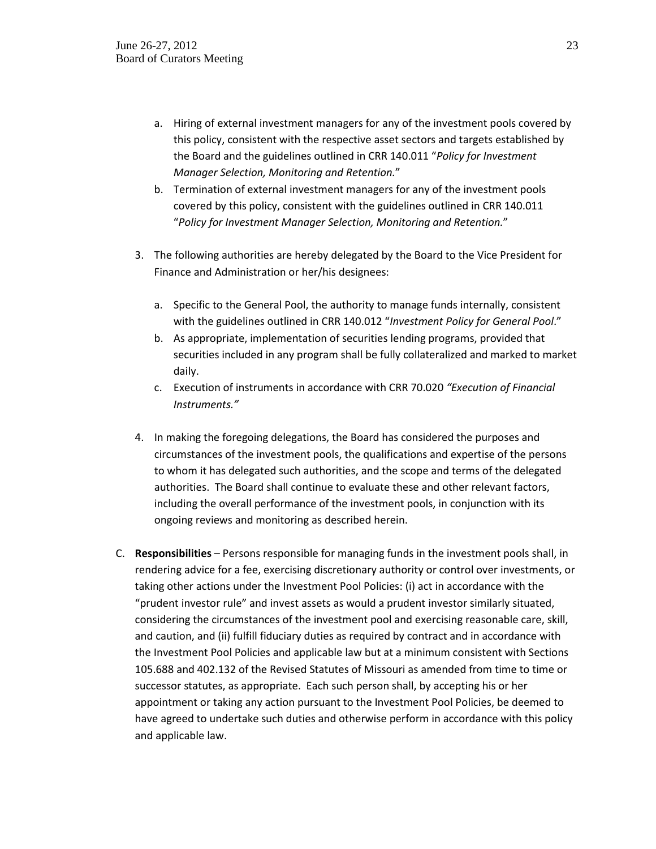- a. Hiring of external investment managers for any of the investment pools covered by this policy, consistent with the respective asset sectors and targets established by the Board and the guidelines outlined in CRR 140.011 "*Policy for Investment Manager Selection, Monitoring and Retention.*"
- b. Termination of external investment managers for any of the investment pools covered by this policy, consistent with the guidelines outlined in CRR 140.011 "*Policy for Investment Manager Selection, Monitoring and Retention.*"
- 3. The following authorities are hereby delegated by the Board to the Vice President for Finance and Administration or her/his designees:
	- a. Specific to the General Pool, the authority to manage funds internally, consistent with the guidelines outlined in CRR 140.012 "*Investment Policy for General Pool*."
	- b. As appropriate, implementation of securities lending programs, provided that securities included in any program shall be fully collateralized and marked to market daily.
	- c. Execution of instruments in accordance with CRR 70.020 *"Execution of Financial Instruments."*
- 4. In making the foregoing delegations, the Board has considered the purposes and circumstances of the investment pools, the qualifications and expertise of the persons to whom it has delegated such authorities, and the scope and terms of the delegated authorities. The Board shall continue to evaluate these and other relevant factors, including the overall performance of the investment pools, in conjunction with its ongoing reviews and monitoring as described herein.
- C. **Responsibilities** Persons responsible for managing funds in the investment pools shall, in rendering advice for a fee, exercising discretionary authority or control over investments, or taking other actions under the Investment Pool Policies: (i) act in accordance with the "prudent investor rule" and invest assets as would a prudent investor similarly situated, considering the circumstances of the investment pool and exercising reasonable care, skill, and caution, and (ii) fulfill fiduciary duties as required by contract and in accordance with the Investment Pool Policies and applicable law but at a minimum consistent with Sections 105.688 and 402.132 of the Revised Statutes of Missouri as amended from time to time or successor statutes, as appropriate. Each such person shall, by accepting his or her appointment or taking any action pursuant to the Investment Pool Policies, be deemed to have agreed to undertake such duties and otherwise perform in accordance with this policy and applicable law.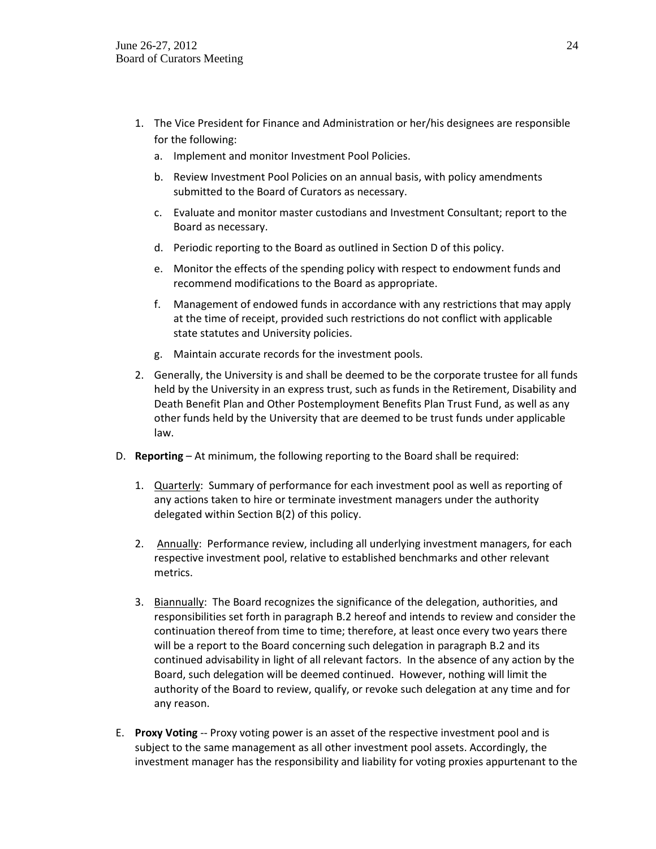- 1. The Vice President for Finance and Administration or her/his designees are responsible for the following:
	- a. Implement and monitor Investment Pool Policies.
	- b. Review Investment Pool Policies on an annual basis, with policy amendments submitted to the Board of Curators as necessary.
	- c. Evaluate and monitor master custodians and Investment Consultant; report to the Board as necessary.
	- d. Periodic reporting to the Board as outlined in Section D of this policy.
	- e. Monitor the effects of the spending policy with respect to endowment funds and recommend modifications to the Board as appropriate.
	- f. Management of endowed funds in accordance with any restrictions that may apply at the time of receipt, provided such restrictions do not conflict with applicable state statutes and University policies.
	- g. Maintain accurate records for the investment pools.
- 2. Generally, the University is and shall be deemed to be the corporate trustee for all funds held by the University in an express trust, such as funds in the Retirement, Disability and Death Benefit Plan and Other Postemployment Benefits Plan Trust Fund, as well as any other funds held by the University that are deemed to be trust funds under applicable law.
- D. **Reporting** At minimum, the following reporting to the Board shall be required:
	- 1. Quarterly: Summary of performance for each investment pool as well as reporting of any actions taken to hire or terminate investment managers under the authority delegated within Section B(2) of this policy.
	- 2. Annually: Performance review, including all underlying investment managers, for each respective investment pool, relative to established benchmarks and other relevant metrics.
	- 3. Biannually: The Board recognizes the significance of the delegation, authorities, and responsibilities set forth in paragraph B.2 hereof and intends to review and consider the continuation thereof from time to time; therefore, at least once every two years there will be a report to the Board concerning such delegation in paragraph B.2 and its continued advisability in light of all relevant factors. In the absence of any action by the Board, such delegation will be deemed continued. However, nothing will limit the authority of the Board to review, qualify, or revoke such delegation at any time and for any reason.
- E. **Proxy Voting** -- Proxy voting power is an asset of the respective investment pool and is subject to the same management as all other investment pool assets. Accordingly, the investment manager has the responsibility and liability for voting proxies appurtenant to the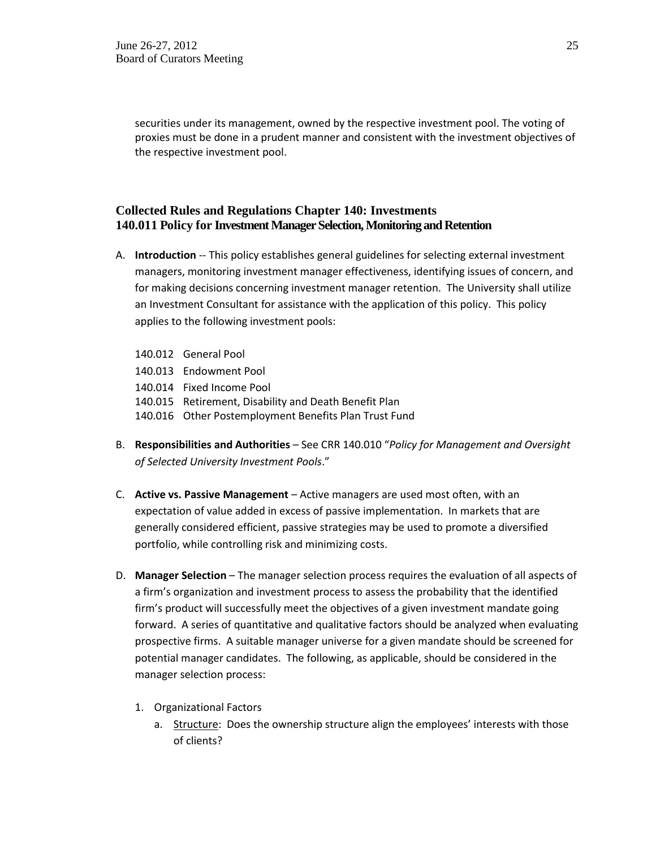securities under its management, owned by the respective investment pool. The voting of proxies must be done in a prudent manner and consistent with the investment objectives of the respective investment pool.

## **Collected Rules and Regulations Chapter 140: Investments 140.011 Policy for Investment Manager Selection, Monitoring and Retention**

- A. **Introduction** -- This policy establishes general guidelines for selecting external investment managers, monitoring investment manager effectiveness, identifying issues of concern, and for making decisions concerning investment manager retention. The University shall utilize an Investment Consultant for assistance with the application of this policy. This policy applies to the following investment pools:
	- 140.012 General Pool
	- 140.013 Endowment Pool
	- 140.014 Fixed Income Pool
	- 140.015 Retirement, Disability and Death Benefit Plan
	- 140.016 Other Postemployment Benefits Plan Trust Fund
- B. **Responsibilities and Authorities**  See CRR 140.010 "*Policy for Management and Oversight of Selected University Investment Pools*."
- C. **Active vs. Passive Management** Active managers are used most often, with an expectation of value added in excess of passive implementation. In markets that are generally considered efficient, passive strategies may be used to promote a diversified portfolio, while controlling risk and minimizing costs.
- D. **Manager Selection**  The manager selection process requires the evaluation of all aspects of a firm's organization and investment process to assess the probability that the identified firm's product will successfully meet the objectives of a given investment mandate going forward. A series of quantitative and qualitative factors should be analyzed when evaluating prospective firms. A suitable manager universe for a given mandate should be screened for potential manager candidates. The following, as applicable, should be considered in the manager selection process:
	- 1. Organizational Factors
		- a. Structure: Does the ownership structure align the employees' interests with those of clients?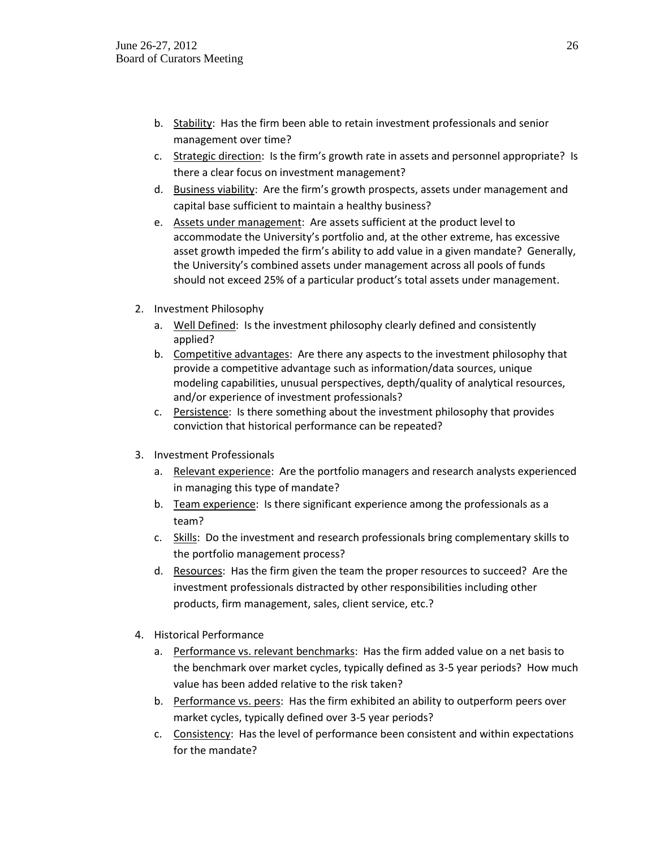- b. Stability: Has the firm been able to retain investment professionals and senior management over time?
- c. Strategic direction: Is the firm's growth rate in assets and personnel appropriate? Is there a clear focus on investment management?
- d. Business viability: Are the firm's growth prospects, assets under management and capital base sufficient to maintain a healthy business?
- e. Assets under management: Are assets sufficient at the product level to accommodate the University's portfolio and, at the other extreme, has excessive asset growth impeded the firm's ability to add value in a given mandate? Generally, the University's combined assets under management across all pools of funds should not exceed 25% of a particular product's total assets under management.
- 2. Investment Philosophy
	- a. Well Defined: Is the investment philosophy clearly defined and consistently applied?
	- b. Competitive advantages: Are there any aspects to the investment philosophy that provide a competitive advantage such as information/data sources, unique modeling capabilities, unusual perspectives, depth/quality of analytical resources, and/or experience of investment professionals?
	- c. Persistence: Is there something about the investment philosophy that provides conviction that historical performance can be repeated?
- 3. Investment Professionals
	- a. Relevant experience: Are the portfolio managers and research analysts experienced in managing this type of mandate?
	- b. Team experience: Is there significant experience among the professionals as a team?
	- c. Skills: Do the investment and research professionals bring complementary skills to the portfolio management process?
	- d. Resources: Has the firm given the team the proper resources to succeed? Are the investment professionals distracted by other responsibilities including other products, firm management, sales, client service, etc.?
- 4. Historical Performance
	- a. Performance vs. relevant benchmarks: Has the firm added value on a net basis to the benchmark over market cycles, typically defined as 3-5 year periods? How much value has been added relative to the risk taken?
	- b. Performance vs. peers: Has the firm exhibited an ability to outperform peers over market cycles, typically defined over 3-5 year periods?
	- c. Consistency: Has the level of performance been consistent and within expectations for the mandate?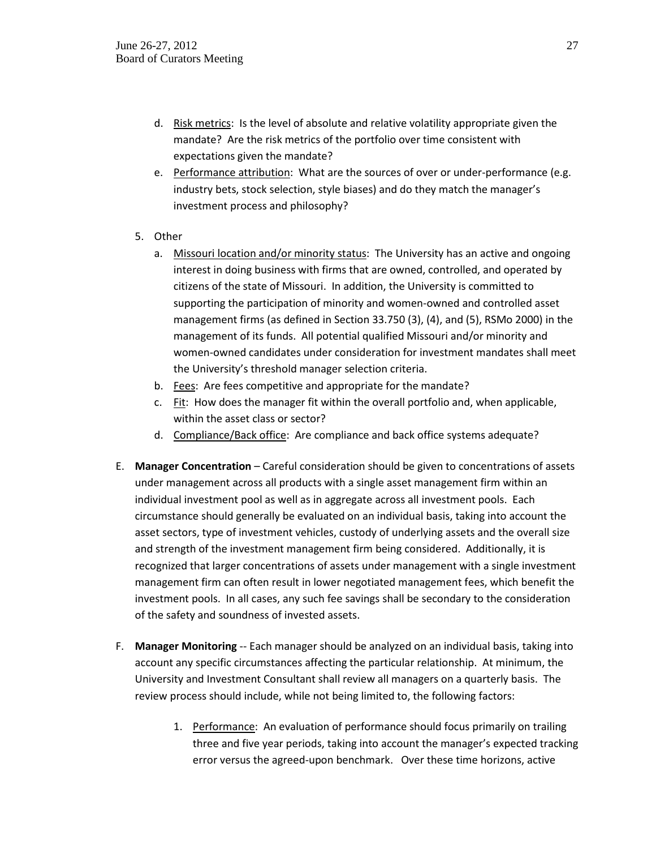- d. Risk metrics: Is the level of absolute and relative volatility appropriate given the mandate? Are the risk metrics of the portfolio over time consistent with expectations given the mandate?
- e. Performance attribution: What are the sources of over or under-performance (e.g. industry bets, stock selection, style biases) and do they match the manager's investment process and philosophy?
- 5. Other
	- a. Missouri location and/or minority status: The University has an active and ongoing interest in doing business with firms that are owned, controlled, and operated by citizens of the state of Missouri. In addition, the University is committed to supporting the participation of minority and women-owned and controlled asset management firms (as defined in Section 33.750 (3), (4), and (5), RSMo 2000) in the management of its funds. All potential qualified Missouri and/or minority and women-owned candidates under consideration for investment mandates shall meet the University's threshold manager selection criteria.
	- b. Fees: Are fees competitive and appropriate for the mandate?
	- c. Fit: How does the manager fit within the overall portfolio and, when applicable, within the asset class or sector?
	- d. Compliance/Back office: Are compliance and back office systems adequate?
- E. **Manager Concentration** Careful consideration should be given to concentrations of assets under management across all products with a single asset management firm within an individual investment pool as well as in aggregate across all investment pools. Each circumstance should generally be evaluated on an individual basis, taking into account the asset sectors, type of investment vehicles, custody of underlying assets and the overall size and strength of the investment management firm being considered. Additionally, it is recognized that larger concentrations of assets under management with a single investment management firm can often result in lower negotiated management fees, which benefit the investment pools. In all cases, any such fee savings shall be secondary to the consideration of the safety and soundness of invested assets.
- F. **Manager Monitoring** -- Each manager should be analyzed on an individual basis, taking into account any specific circumstances affecting the particular relationship. At minimum, the University and Investment Consultant shall review all managers on a quarterly basis. The review process should include, while not being limited to, the following factors:
	- 1. Performance: An evaluation of performance should focus primarily on trailing three and five year periods, taking into account the manager's expected tracking error versus the agreed-upon benchmark. Over these time horizons, active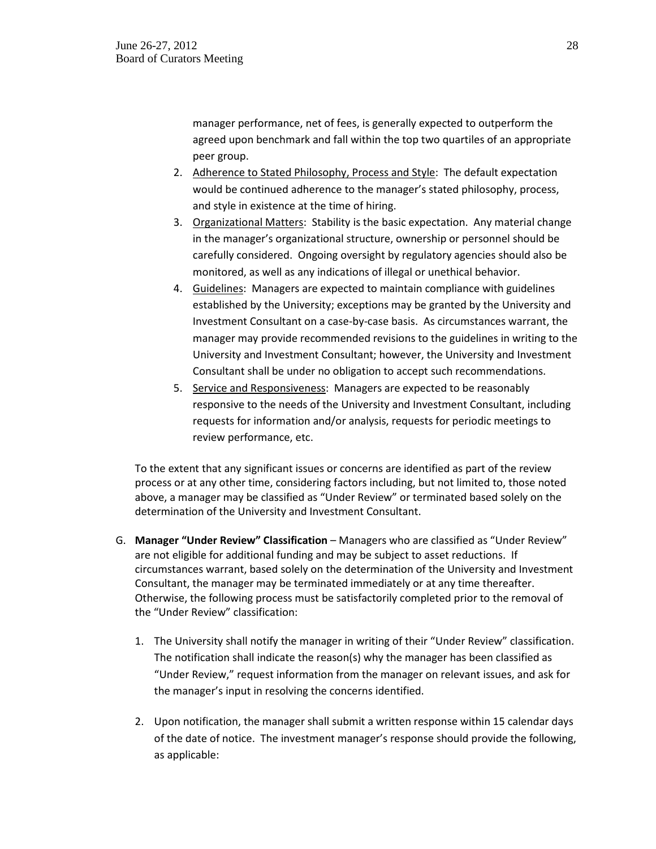manager performance, net of fees, is generally expected to outperform the agreed upon benchmark and fall within the top two quartiles of an appropriate peer group.

- 2. Adherence to Stated Philosophy, Process and Style: The default expectation would be continued adherence to the manager's stated philosophy, process, and style in existence at the time of hiring.
- 3. Organizational Matters: Stability is the basic expectation. Any material change in the manager's organizational structure, ownership or personnel should be carefully considered. Ongoing oversight by regulatory agencies should also be monitored, as well as any indications of illegal or unethical behavior.
- 4. Guidelines: Managers are expected to maintain compliance with guidelines established by the University; exceptions may be granted by the University and Investment Consultant on a case-by-case basis. As circumstances warrant, the manager may provide recommended revisions to the guidelines in writing to the University and Investment Consultant; however, the University and Investment Consultant shall be under no obligation to accept such recommendations.
- 5. Service and Responsiveness: Managers are expected to be reasonably responsive to the needs of the University and Investment Consultant, including requests for information and/or analysis, requests for periodic meetings to review performance, etc.

To the extent that any significant issues or concerns are identified as part of the review process or at any other time, considering factors including, but not limited to, those noted above, a manager may be classified as "Under Review" or terminated based solely on the determination of the University and Investment Consultant.

- G. **Manager "Under Review" Classification** Managers who are classified as "Under Review" are not eligible for additional funding and may be subject to asset reductions. If circumstances warrant, based solely on the determination of the University and Investment Consultant, the manager may be terminated immediately or at any time thereafter. Otherwise, the following process must be satisfactorily completed prior to the removal of the "Under Review" classification:
	- 1. The University shall notify the manager in writing of their "Under Review" classification. The notification shall indicate the reason(s) why the manager has been classified as "Under Review," request information from the manager on relevant issues, and ask for the manager's input in resolving the concerns identified.
	- 2. Upon notification, the manager shall submit a written response within 15 calendar days of the date of notice. The investment manager's response should provide the following, as applicable: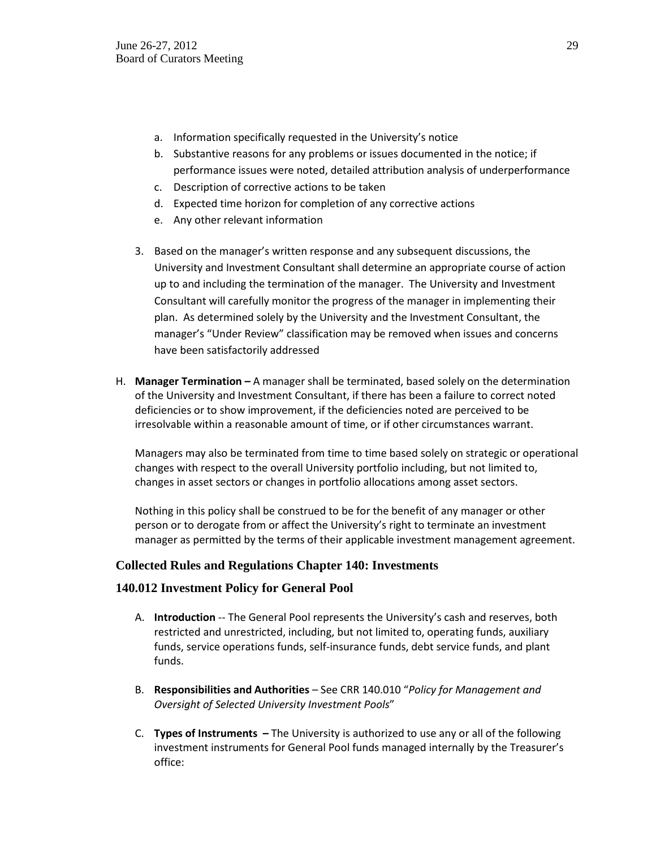- a. Information specifically requested in the University's notice
- b. Substantive reasons for any problems or issues documented in the notice; if performance issues were noted, detailed attribution analysis of underperformance
- c. Description of corrective actions to be taken
- d. Expected time horizon for completion of any corrective actions
- e. Any other relevant information
- 3. Based on the manager's written response and any subsequent discussions, the University and Investment Consultant shall determine an appropriate course of action up to and including the termination of the manager. The University and Investment Consultant will carefully monitor the progress of the manager in implementing their plan. As determined solely by the University and the Investment Consultant, the manager's "Under Review" classification may be removed when issues and concerns have been satisfactorily addressed
- H. **Manager Termination –** A manager shall be terminated, based solely on the determination of the University and Investment Consultant, if there has been a failure to correct noted deficiencies or to show improvement, if the deficiencies noted are perceived to be irresolvable within a reasonable amount of time, or if other circumstances warrant.

Managers may also be terminated from time to time based solely on strategic or operational changes with respect to the overall University portfolio including, but not limited to, changes in asset sectors or changes in portfolio allocations among asset sectors.

Nothing in this policy shall be construed to be for the benefit of any manager or other person or to derogate from or affect the University's right to terminate an investment manager as permitted by the terms of their applicable investment management agreement.

### **Collected Rules and Regulations Chapter 140: Investments**

#### **140.012 Investment Policy for General Pool**

- A. **Introduction** -- The General Pool represents the University's cash and reserves, both restricted and unrestricted, including, but not limited to, operating funds, auxiliary funds, service operations funds, self-insurance funds, debt service funds, and plant funds.
- B. **Responsibilities and Authorities** See CRR 140.010 "*Policy for Management and Oversight of Selected University Investment Pools*"
- C. **Types of Instruments –** The University is authorized to use any or all of the following investment instruments for General Pool funds managed internally by the Treasurer's office: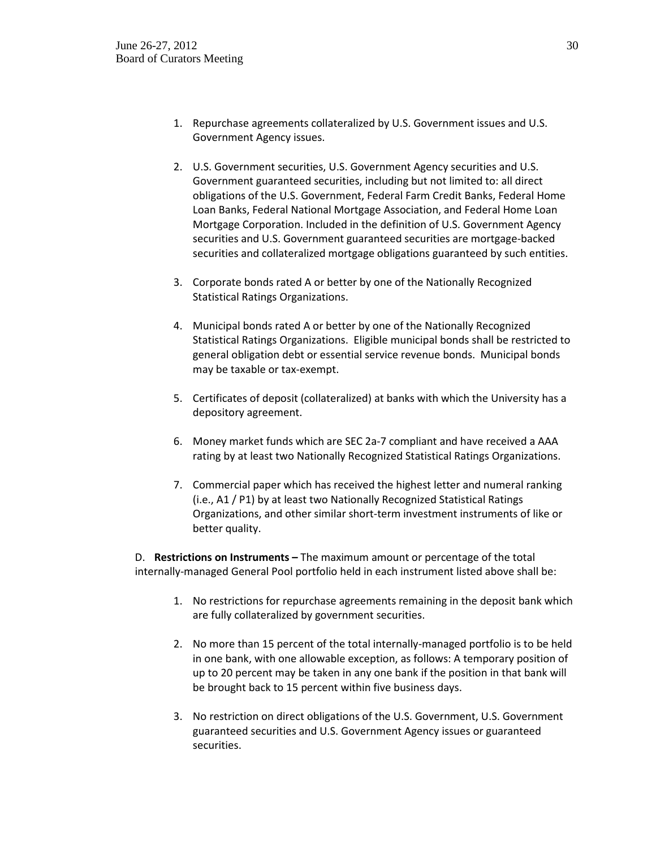- 1. Repurchase agreements collateralized by U.S. Government issues and U.S. Government Agency issues.
- 2. U.S. Government securities, U.S. Government Agency securities and U.S. Government guaranteed securities, including but not limited to: all direct obligations of the U.S. Government, Federal Farm Credit Banks, Federal Home Loan Banks, Federal National Mortgage Association, and Federal Home Loan Mortgage Corporation. Included in the definition of U.S. Government Agency securities and U.S. Government guaranteed securities are mortgage-backed securities and collateralized mortgage obligations guaranteed by such entities.
- 3. Corporate bonds rated A or better by one of the Nationally Recognized Statistical Ratings Organizations.
- 4. Municipal bonds rated A or better by one of the Nationally Recognized Statistical Ratings Organizations. Eligible municipal bonds shall be restricted to general obligation debt or essential service revenue bonds. Municipal bonds may be taxable or tax-exempt.
- 5. Certificates of deposit (collateralized) at banks with which the University has a depository agreement.
- 6. Money market funds which are SEC 2a-7 compliant and have received a AAA rating by at least two Nationally Recognized Statistical Ratings Organizations.
- 7. Commercial paper which has received the highest letter and numeral ranking (i.e., A1 / P1) by at least two Nationally Recognized Statistical Ratings Organizations, and other similar short-term investment instruments of like or better quality.

D. **Restrictions on Instruments –** The maximum amount or percentage of the total internally-managed General Pool portfolio held in each instrument listed above shall be:

- 1. No restrictions for repurchase agreements remaining in the deposit bank which are fully collateralized by government securities.
- 2. No more than 15 percent of the total internally-managed portfolio is to be held in one bank, with one allowable exception, as follows: A temporary position of up to 20 percent may be taken in any one bank if the position in that bank will be brought back to 15 percent within five business days.
- 3. No restriction on direct obligations of the U.S. Government, U.S. Government guaranteed securities and U.S. Government Agency issues or guaranteed securities.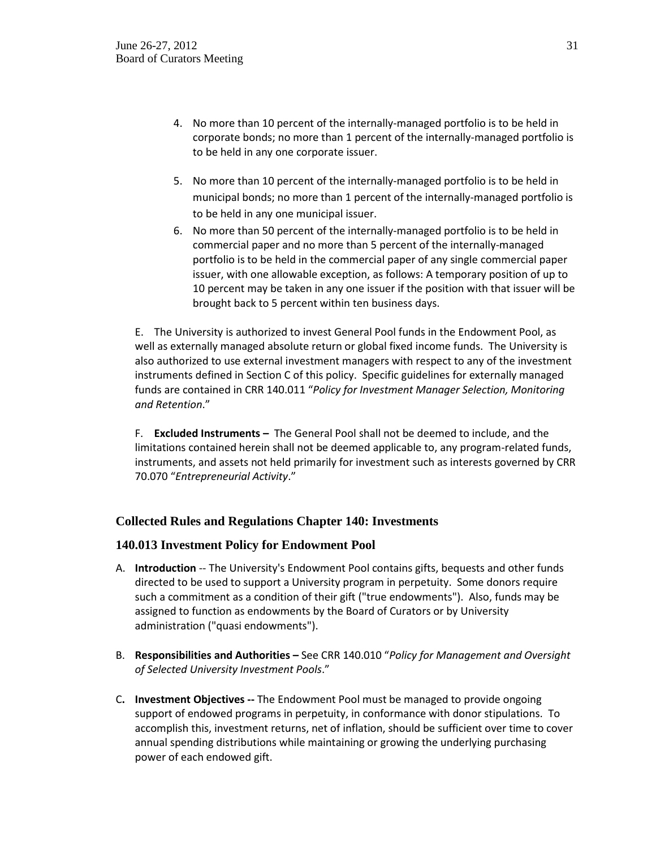- 4. No more than 10 percent of the internally-managed portfolio is to be held in corporate bonds; no more than 1 percent of the internally-managed portfolio is to be held in any one corporate issuer.
- 5. No more than 10 percent of the internally-managed portfolio is to be held in municipal bonds; no more than 1 percent of the internally-managed portfolio is to be held in any one municipal issuer.
- 6. No more than 50 percent of the internally-managed portfolio is to be held in commercial paper and no more than 5 percent of the internally-managed portfolio is to be held in the commercial paper of any single commercial paper issuer, with one allowable exception, as follows: A temporary position of up to 10 percent may be taken in any one issuer if the position with that issuer will be brought back to 5 percent within ten business days.

E. The University is authorized to invest General Pool funds in the Endowment Pool, as well as externally managed absolute return or global fixed income funds. The University is also authorized to use external investment managers with respect to any of the investment instruments defined in Section C of this policy. Specific guidelines for externally managed funds are contained in CRR 140.011 "*Policy for Investment Manager Selection, Monitoring and Retention*."

F. **Excluded Instruments –** The General Pool shall not be deemed to include, and the limitations contained herein shall not be deemed applicable to, any program-related funds, instruments, and assets not held primarily for investment such as interests governed by CRR 70.070 "*Entrepreneurial Activity*."

### **Collected Rules and Regulations Chapter 140: Investments**

#### **140.013 Investment Policy for Endowment Pool**

- A. **Introduction** -- The University's Endowment Pool contains gifts, bequests and other funds directed to be used to support a University program in perpetuity. Some donors require such a commitment as a condition of their gift ("true endowments"). Also, funds may be assigned to function as endowments by the Board of Curators or by University administration ("quasi endowments").
- B. **Responsibilities and Authorities –** See CRR 140.010 "*Policy for Management and Oversight of Selected University Investment Pools*."
- C**. Investment Objectives --** The Endowment Pool must be managed to provide ongoing support of endowed programs in perpetuity, in conformance with donor stipulations. To accomplish this, investment returns, net of inflation, should be sufficient over time to cover annual spending distributions while maintaining or growing the underlying purchasing power of each endowed gift.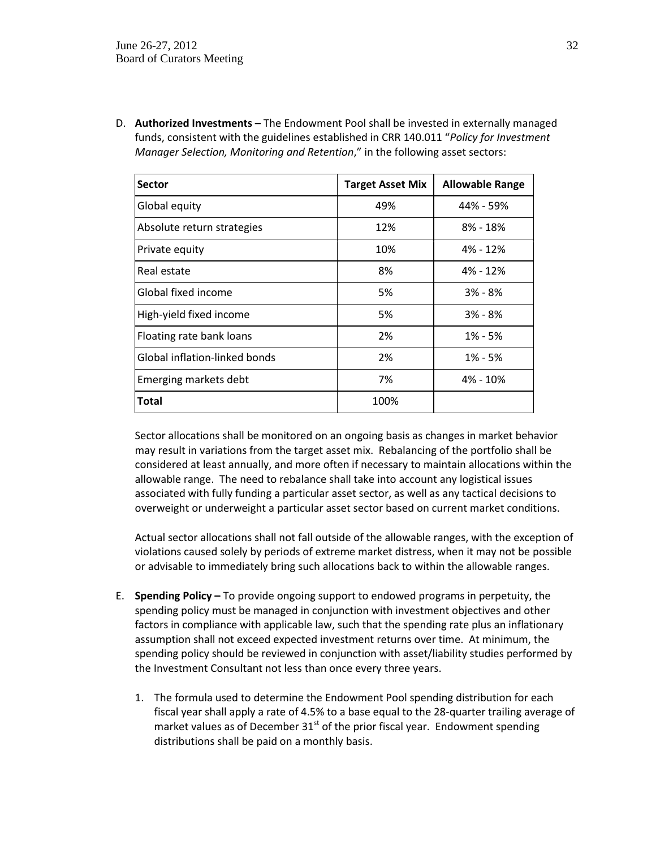D. **Authorized Investments –** The Endowment Pool shall be invested in externally managed funds, consistent with the guidelines established in CRR 140.011 "*Policy for Investment Manager Selection, Monitoring and Retention*," in the following asset sectors:

| Sector                        | <b>Target Asset Mix</b> | <b>Allowable Range</b> |
|-------------------------------|-------------------------|------------------------|
| Global equity                 | 49%                     | 44% - 59%              |
| Absolute return strategies    | 12%                     | $8\%$ - $18\%$         |
| Private equity                | 10%                     | 4% - 12%               |
| Real estate                   | 8%                      | 4% - 12%               |
| Global fixed income           | 5%                      | $3\% - 8\%$            |
| High-yield fixed income       | 5%                      | $3% - 8%$              |
| Floating rate bank loans      | 2%                      | $1\% - 5\%$            |
| Global inflation-linked bonds | 2%                      | $1\% - 5\%$            |
| Emerging markets debt         | 7%                      | 4% - 10%               |
| <b>Total</b>                  | 100%                    |                        |

Sector allocations shall be monitored on an ongoing basis as changes in market behavior may result in variations from the target asset mix. Rebalancing of the portfolio shall be considered at least annually, and more often if necessary to maintain allocations within the allowable range. The need to rebalance shall take into account any logistical issues associated with fully funding a particular asset sector, as well as any tactical decisions to overweight or underweight a particular asset sector based on current market conditions.

Actual sector allocations shall not fall outside of the allowable ranges, with the exception of violations caused solely by periods of extreme market distress, when it may not be possible or advisable to immediately bring such allocations back to within the allowable ranges.

- E. **Spending Policy –** To provide ongoing support to endowed programs in perpetuity, the spending policy must be managed in conjunction with investment objectives and other factors in compliance with applicable law, such that the spending rate plus an inflationary assumption shall not exceed expected investment returns over time. At minimum, the spending policy should be reviewed in conjunction with asset/liability studies performed by the Investment Consultant not less than once every three years.
	- 1. The formula used to determine the Endowment Pool spending distribution for each fiscal year shall apply a rate of 4.5% to a base equal to the 28-quarter trailing average of market values as of December  $31<sup>st</sup>$  of the prior fiscal year. Endowment spending distributions shall be paid on a monthly basis.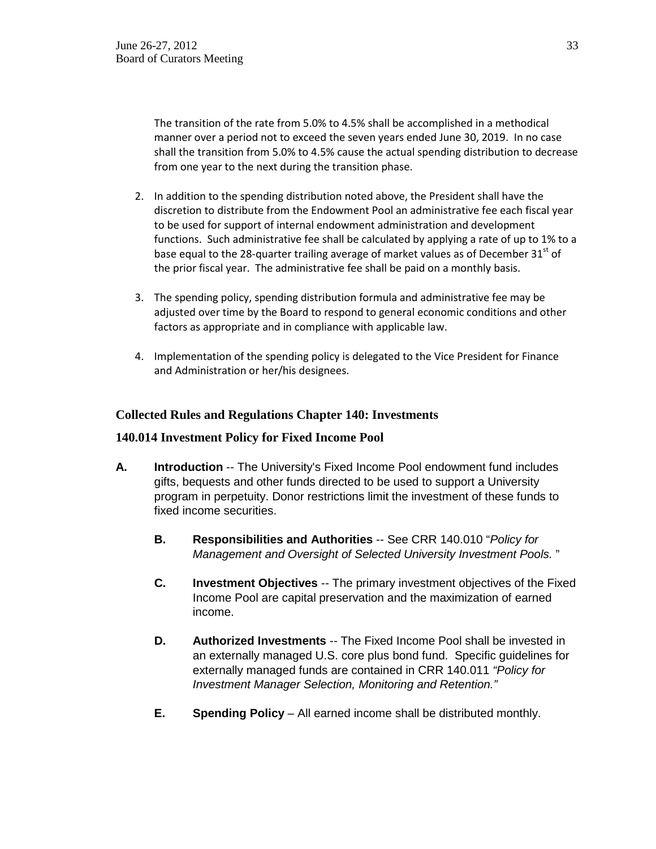The transition of the rate from 5.0% to 4.5% shall be accomplished in a methodical manner over a period not to exceed the seven years ended June 30, 2019. In no case shall the transition from 5.0% to 4.5% cause the actual spending distribution to decrease from one year to the next during the transition phase.

- 2. In addition to the spending distribution noted above, the President shall have the discretion to distribute from the Endowment Pool an administrative fee each fiscal year to be used for support of internal endowment administration and development functions. Such administrative fee shall be calculated by applying a rate of up to 1% to a base equal to the 28-quarter trailing average of market values as of December  $31^{st}$  of the prior fiscal year. The administrative fee shall be paid on a monthly basis.
- 3. The spending policy, spending distribution formula and administrative fee may be adjusted over time by the Board to respond to general economic conditions and other factors as appropriate and in compliance with applicable law.
- 4. Implementation of the spending policy is delegated to the Vice President for Finance and Administration or her/his designees.

### **Collected Rules and Regulations Chapter 140: Investments**

### **140.014 Investment Policy for Fixed Income Pool**

- **A. Introduction** -- The University's Fixed Income Pool endowment fund includes gifts, bequests and other funds directed to be used to support a University program in perpetuity. Donor restrictions limit the investment of these funds to fixed income securities.
	- **B. Responsibilities and Authorities** -- See CRR 140.010 "*Policy for Management and Oversight of Selected University Investment Pools.* "
	- **C. Investment Objectives** -- The primary investment objectives of the Fixed Income Pool are capital preservation and the maximization of earned income.
	- **D. Authorized Investments** -- The Fixed Income Pool shall be invested in an externally managed U.S. core plus bond fund. Specific guidelines for externally managed funds are contained in CRR 140.011 *"Policy for Investment Manager Selection, Monitoring and Retention."*
	- **E. Spending Policy** All earned income shall be distributed monthly.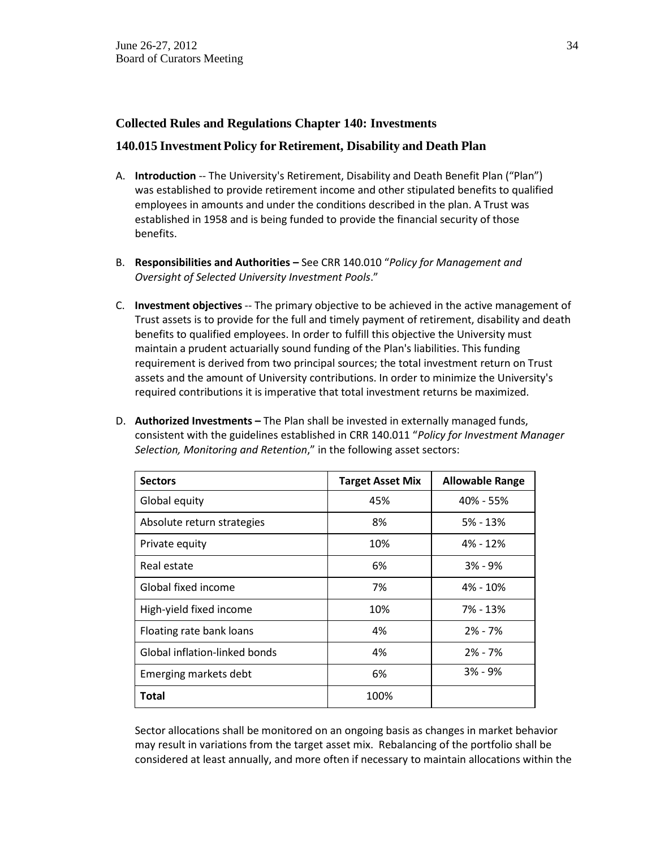### **Collected Rules and Regulations Chapter 140: Investments**

### **140.015 Investment Policy for Retirement, Disability and Death Plan**

- A. **Introduction** -- The University's Retirement, Disability and Death Benefit Plan ("Plan") was established to provide retirement income and other stipulated benefits to qualified employees in amounts and under the conditions described in the plan. A Trust was established in 1958 and is being funded to provide the financial security of those benefits.
- B. **Responsibilities and Authorities –** See CRR 140.010 "*Policy for Management and Oversight of Selected University Investment Pools*."
- C. **Investment objectives** -- The primary objective to be achieved in the active management of Trust assets is to provide for the full and timely payment of retirement, disability and death benefits to qualified employees. In order to fulfill this objective the University must maintain a prudent actuarially sound funding of the Plan's liabilities. This funding requirement is derived from two principal sources; the total investment return on Trust assets and the amount of University contributions. In order to minimize the University's required contributions it is imperative that total investment returns be maximized.
- D. **Authorized Investments –** The Plan shall be invested in externally managed funds, consistent with the guidelines established in CRR 140.011 "*Policy for Investment Manager Selection, Monitoring and Retention*," in the following asset sectors:

| <b>Sectors</b>                | <b>Target Asset Mix</b> | <b>Allowable Range</b> |
|-------------------------------|-------------------------|------------------------|
| Global equity                 | 45%                     | 40% - 55%              |
| Absolute return strategies    | 8%                      | $5% - 13%$             |
| Private equity                | 10%                     | 4% - 12%               |
| Real estate                   | 6%                      | $3\% - 9\%$            |
| Global fixed income           | 7%                      | 4% - 10%               |
| High-yield fixed income       | 10%                     | 7% - 13%               |
| Floating rate bank loans      | 4%                      | $2% - 7%$              |
| Global inflation-linked bonds | 4%                      | $2\% - 7\%$            |
| Emerging markets debt         | 6%                      | $3\% - 9\%$            |
| Total                         | 100%                    |                        |

Sector allocations shall be monitored on an ongoing basis as changes in market behavior may result in variations from the target asset mix. Rebalancing of the portfolio shall be considered at least annually, and more often if necessary to maintain allocations within the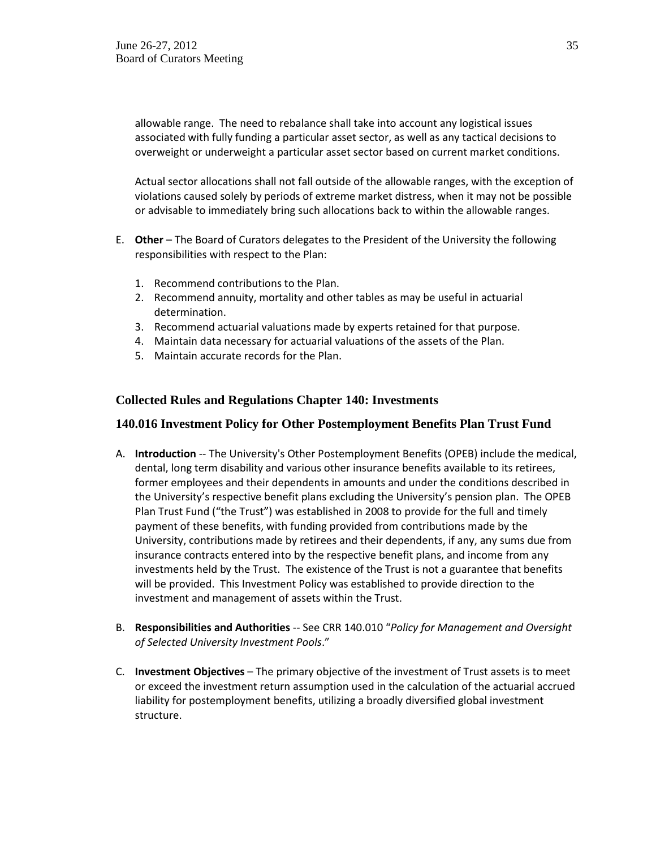allowable range. The need to rebalance shall take into account any logistical issues associated with fully funding a particular asset sector, as well as any tactical decisions to overweight or underweight a particular asset sector based on current market conditions.

Actual sector allocations shall not fall outside of the allowable ranges, with the exception of violations caused solely by periods of extreme market distress, when it may not be possible or advisable to immediately bring such allocations back to within the allowable ranges.

- E. **Other** The Board of Curators delegates to the President of the University the following responsibilities with respect to the Plan:
	- 1. Recommend contributions to the Plan.
	- 2. Recommend annuity, mortality and other tables as may be useful in actuarial determination.
	- 3. Recommend actuarial valuations made by experts retained for that purpose.
	- 4. Maintain data necessary for actuarial valuations of the assets of the Plan.
	- 5. Maintain accurate records for the Plan.

#### **Collected Rules and Regulations Chapter 140: Investments**

#### **140.016 Investment Policy for Other Postemployment Benefits Plan Trust Fund**

- A. **Introduction** -- The University's Other Postemployment Benefits (OPEB) include the medical, dental, long term disability and various other insurance benefits available to its retirees, former employees and their dependents in amounts and under the conditions described in the University's respective benefit plans excluding the University's pension plan. The OPEB Plan Trust Fund ("the Trust") was established in 2008 to provide for the full and timely payment of these benefits, with funding provided from contributions made by the University, contributions made by retirees and their dependents, if any, any sums due from insurance contracts entered into by the respective benefit plans, and income from any investments held by the Trust. The existence of the Trust is not a guarantee that benefits will be provided. This Investment Policy was established to provide direction to the investment and management of assets within the Trust.
- B. **Responsibilities and Authorities** -- See CRR 140.010 "*Policy for Management and Oversight of Selected University Investment Pools*."
- C. **Investment Objectives** The primary objective of the investment of Trust assets is to meet or exceed the investment return assumption used in the calculation of the actuarial accrued liability for postemployment benefits, utilizing a broadly diversified global investment structure.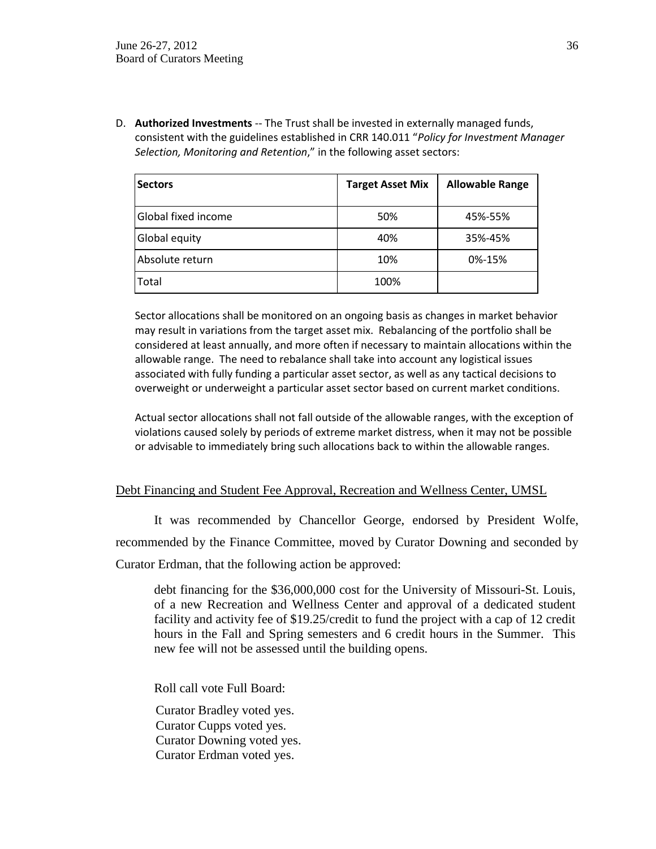D. **Authorized Investments** -- The Trust shall be invested in externally managed funds, consistent with the guidelines established in CRR 140.011 "*Policy for Investment Manager Selection, Monitoring and Retention*," in the following asset sectors:

| <b>Sectors</b>      | <b>Target Asset Mix</b> | <b>Allowable Range</b> |
|---------------------|-------------------------|------------------------|
| Global fixed income | 50%                     | 45%-55%                |
| Global equity       | 40%                     | 35%-45%                |
| Absolute return     | 10%                     | 0%-15%                 |
| Total               | 100%                    |                        |

Sector allocations shall be monitored on an ongoing basis as changes in market behavior may result in variations from the target asset mix. Rebalancing of the portfolio shall be considered at least annually, and more often if necessary to maintain allocations within the allowable range. The need to rebalance shall take into account any logistical issues associated with fully funding a particular asset sector, as well as any tactical decisions to overweight or underweight a particular asset sector based on current market conditions.

Actual sector allocations shall not fall outside of the allowable ranges, with the exception of violations caused solely by periods of extreme market distress, when it may not be possible or advisable to immediately bring such allocations back to within the allowable ranges.

### Debt Financing and Student Fee Approval, Recreation and Wellness Center, UMSL

It was recommended by Chancellor George, endorsed by President Wolfe, recommended by the Finance Committee, moved by Curator Downing and seconded by Curator Erdman, that the following action be approved:

debt financing for the \$36,000,000 cost for the University of Missouri-St. Louis, of a new Recreation and Wellness Center and approval of a dedicated student facility and activity fee of \$19.25/credit to fund the project with a cap of 12 credit hours in the Fall and Spring semesters and 6 credit hours in the Summer. This new fee will not be assessed until the building opens.

Roll call vote Full Board:

Curator Bradley voted yes. Curator Cupps voted yes. Curator Downing voted yes. Curator Erdman voted yes.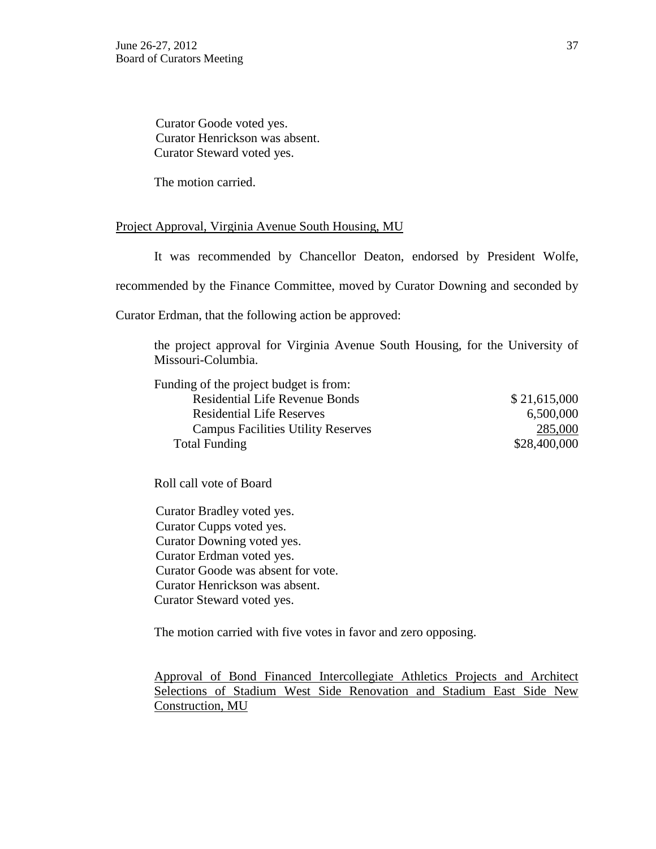Curator Goode voted yes. Curator Henrickson was absent. Curator Steward voted yes.

The motion carried.

### Project Approval, Virginia Avenue South Housing, MU

It was recommended by Chancellor Deaton, endorsed by President Wolfe,

recommended by the Finance Committee, moved by Curator Downing and seconded by

Curator Erdman, that the following action be approved:

the project approval for Virginia Avenue South Housing, for the University of Missouri-Columbia.

| Funding of the project budget is from:    |              |
|-------------------------------------------|--------------|
| <b>Residential Life Revenue Bonds</b>     | \$21,615,000 |
| <b>Residential Life Reserves</b>          | 6,500,000    |
| <b>Campus Facilities Utility Reserves</b> | 285,000      |
| <b>Total Funding</b>                      | \$28,400,000 |

Roll call vote of Board

Curator Bradley voted yes. Curator Cupps voted yes. Curator Downing voted yes. Curator Erdman voted yes. Curator Goode was absent for vote. Curator Henrickson was absent. Curator Steward voted yes.

The motion carried with five votes in favor and zero opposing.

Approval of Bond Financed Intercollegiate Athletics Projects and Architect Selections of Stadium West Side Renovation and Stadium East Side New Construction, MU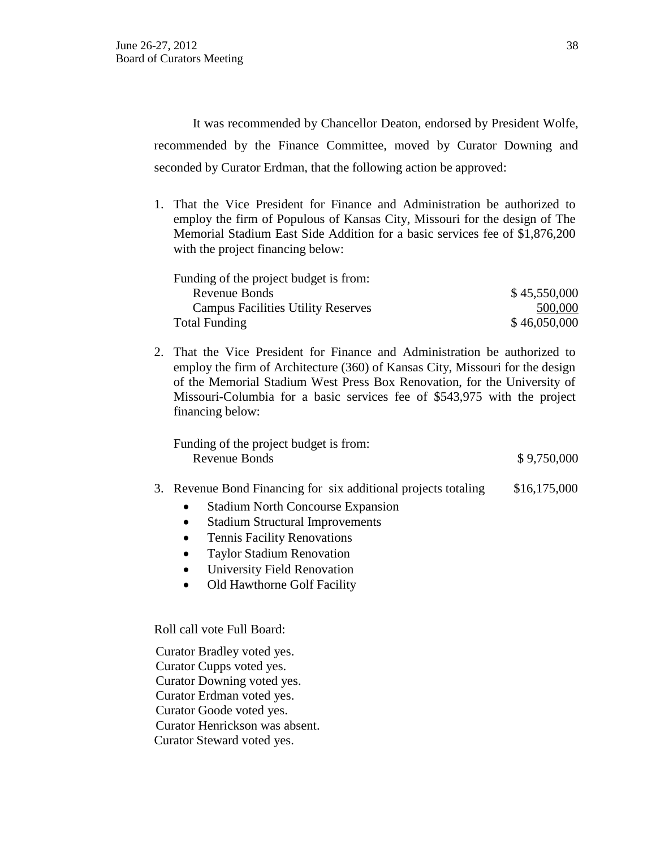It was recommended by Chancellor Deaton, endorsed by President Wolfe, recommended by the Finance Committee, moved by Curator Downing and seconded by Curator Erdman, that the following action be approved:

1. That the Vice President for Finance and Administration be authorized to employ the firm of Populous of Kansas City, Missouri for the design of The Memorial Stadium East Side Addition for a basic services fee of \$1,876,200 with the project financing below:

| Funding of the project budget is from:    |              |
|-------------------------------------------|--------------|
| Revenue Bonds                             | \$45,550,000 |
| <b>Campus Facilities Utility Reserves</b> | 500,000      |
| Total Funding                             | \$46,050,000 |

2. That the Vice President for Finance and Administration be authorized to employ the firm of Architecture (360) of Kansas City, Missouri for the design of the Memorial Stadium West Press Box Renovation, for the University of Missouri-Columbia for a basic services fee of \$543,975 with the project financing below:

Funding of the project budget is from: Revenue Bonds  $$9,750,000$ 

#### 3. Revenue Bond Financing for six additional projects totaling \$16,175,000

- Stadium North Concourse Expansion
- Stadium Structural Improvements
- Tennis Facility Renovations
- Taylor Stadium Renovation
- University Field Renovation
- Old Hawthorne Golf Facility

Roll call vote Full Board:

Curator Bradley voted yes. Curator Cupps voted yes. Curator Downing voted yes. Curator Erdman voted yes. Curator Goode voted yes. Curator Henrickson was absent. Curator Steward voted yes.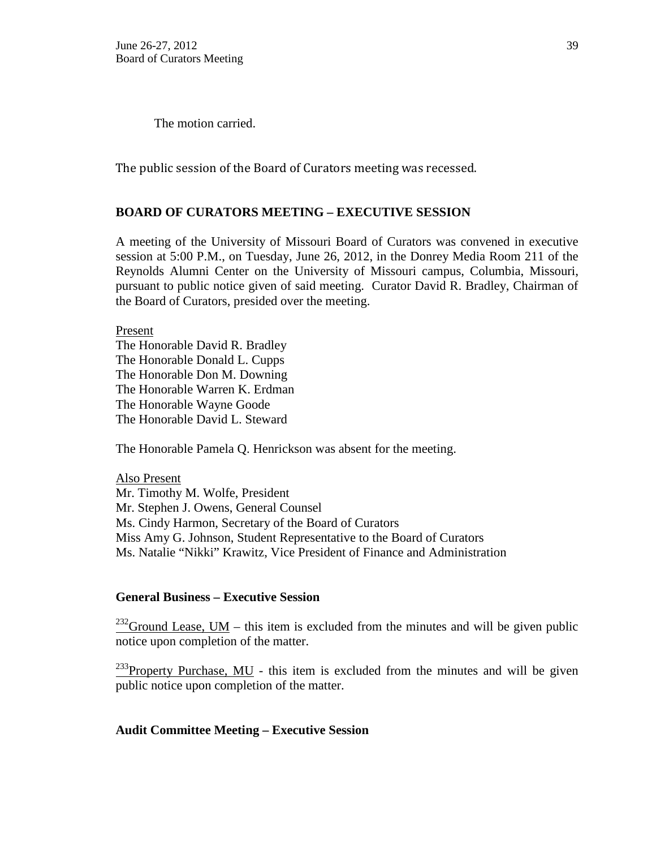The motion carried.

The public session of the Board of Curators meeting was recessed.

## **BOARD OF CURATORS MEETING – EXECUTIVE SESSION**

A meeting of the University of Missouri Board of Curators was convened in executive session at 5:00 P.M., on Tuesday, June 26, 2012, in the Donrey Media Room 211 of the Reynolds Alumni Center on the University of Missouri campus, Columbia, Missouri, pursuant to public notice given of said meeting. Curator David R. Bradley, Chairman of the Board of Curators, presided over the meeting.

Present

The Honorable David R. Bradley The Honorable Donald L. Cupps The Honorable Don M. Downing The Honorable Warren K. Erdman The Honorable Wayne Goode The Honorable David L. Steward

The Honorable Pamela Q. Henrickson was absent for the meeting.

Also Present Mr. Timothy M. Wolfe, President Mr. Stephen J. Owens, General Counsel Ms. Cindy Harmon, Secretary of the Board of Curators Miss Amy G. Johnson, Student Representative to the Board of Curators Ms. Natalie "Nikki" Krawitz, Vice President of Finance and Administration

#### **General Business – Executive Session**

 $232$ Ground Lease, UM – this item is excluded from the minutes and will be given public notice upon completion of the matter.

 $^{233}$ Property Purchase, MU - this item is excluded from the minutes and will be given public notice upon completion of the matter.

#### **Audit Committee Meeting – Executive Session**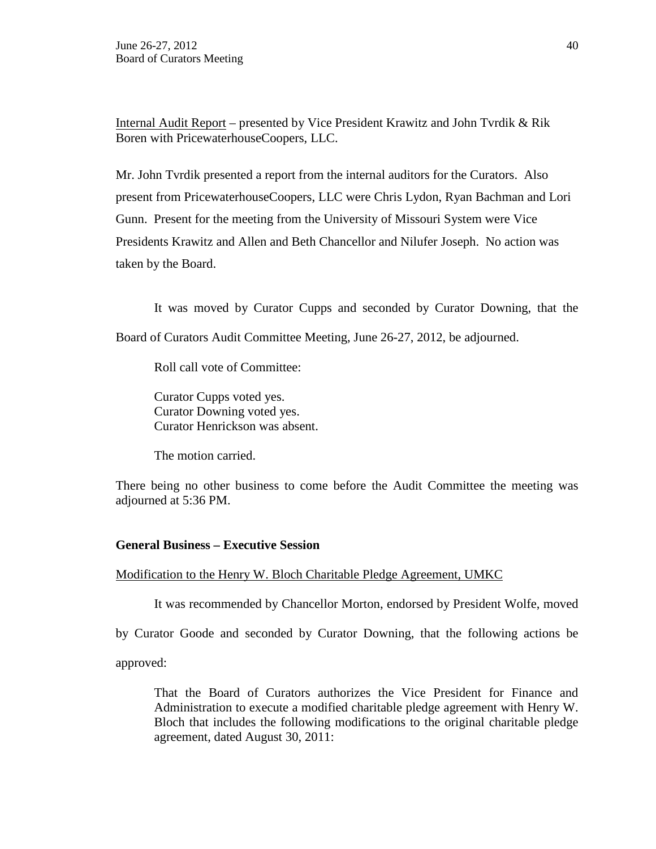Internal Audit Report – presented by Vice President Krawitz and John Tvrdik & Rik Boren with PricewaterhouseCoopers, LLC.

Mr. John Tvrdik presented a report from the internal auditors for the Curators. Also present from PricewaterhouseCoopers, LLC were Chris Lydon, Ryan Bachman and Lori Gunn. Present for the meeting from the University of Missouri System were Vice Presidents Krawitz and Allen and Beth Chancellor and Nilufer Joseph. No action was taken by the Board.

It was moved by Curator Cupps and seconded by Curator Downing, that the Board of Curators Audit Committee Meeting, June 26-27, 2012, be adjourned.

Roll call vote of Committee:

Curator Cupps voted yes. Curator Downing voted yes. Curator Henrickson was absent.

The motion carried.

There being no other business to come before the Audit Committee the meeting was adjourned at 5:36 PM.

# **General Business – Executive Session**

### Modification to the Henry W. Bloch Charitable Pledge Agreement, UMKC

It was recommended by Chancellor Morton, endorsed by President Wolfe, moved

by Curator Goode and seconded by Curator Downing, that the following actions be

approved:

That the Board of Curators authorizes the Vice President for Finance and Administration to execute a modified charitable pledge agreement with Henry W. Bloch that includes the following modifications to the original charitable pledge agreement, dated August 30, 2011: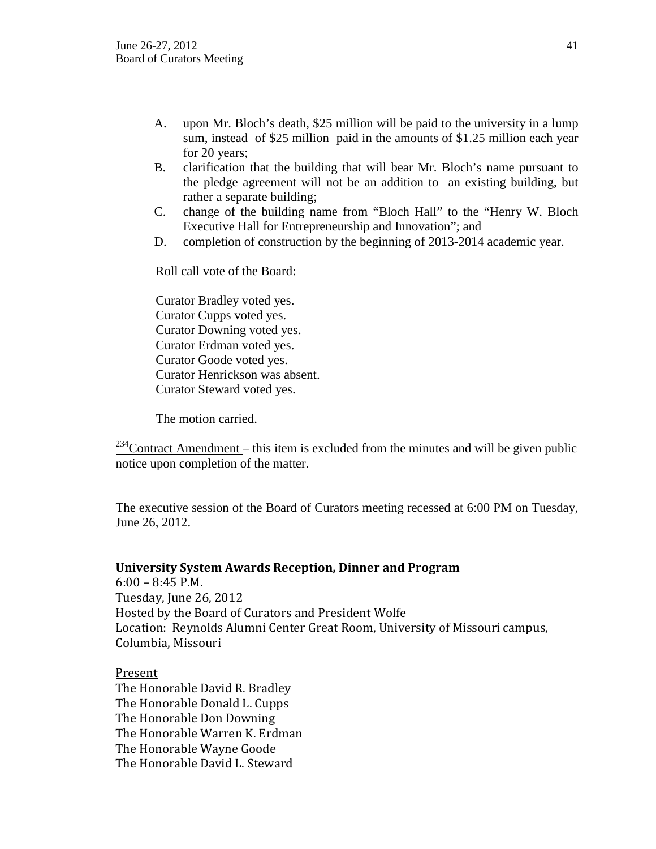- A. upon Mr. Bloch's death, \$25 million will be paid to the university in a lump sum, instead of \$25 million paid in the amounts of \$1.25 million each year for 20 years;
- B. clarification that the building that will bear Mr. Bloch's name pursuant to the pledge agreement will not be an addition to an existing building, but rather a separate building;
- C. change of the building name from "Bloch Hall" to the "Henry W. Bloch Executive Hall for Entrepreneurship and Innovation"; and
- D. completion of construction by the beginning of 2013-2014 academic year.

Roll call vote of the Board:

Curator Bradley voted yes. Curator Cupps voted yes. Curator Downing voted yes. Curator Erdman voted yes. Curator Goode voted yes. Curator Henrickson was absent. Curator Steward voted yes.

The motion carried.

 $234$ Contract Amendment – this item is excluded from the minutes and will be given public notice upon completion of the matter.

The executive session of the Board of Curators meeting recessed at 6:00 PM on Tuesday, June 26, 2012.

#### **University System Awards Reception, Dinner and Program**

6:00 – 8:45 P.M. Tuesday, June 26, 2012 Hosted by the Board of Curators and President Wolfe Location: Reynolds Alumni Center Great Room, University of Missouri campus, Columbia, Missouri

### Present

The Honorable David R. Bradley The Honorable Donald L. Cupps The Honorable Don Downing The Honorable Warren K. Erdman The Honorable Wayne Goode The Honorable David L. Steward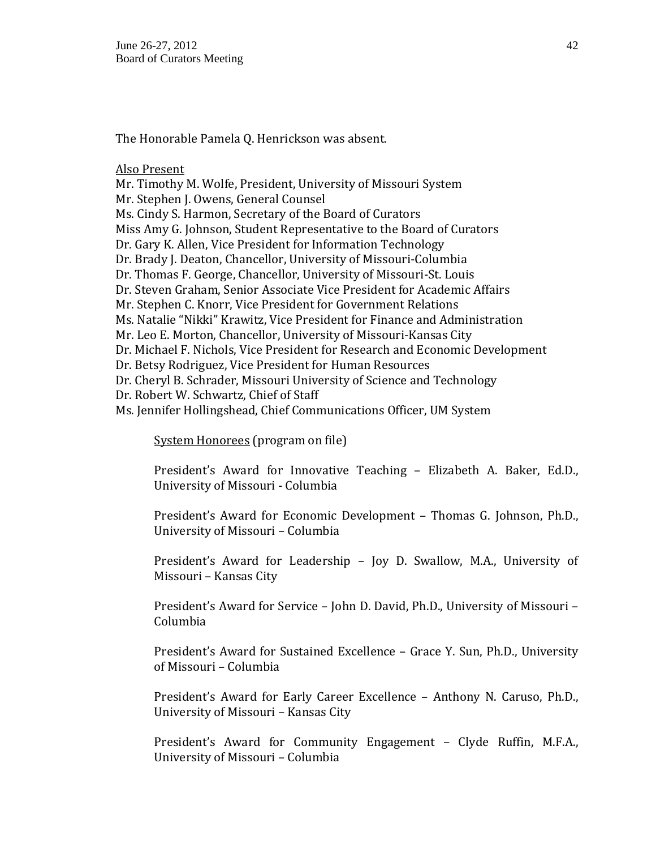The Honorable Pamela Q. Henrickson was absent.

Also Present

Mr. Timothy M. Wolfe, President, University of Missouri System Mr. Stephen J. Owens, General Counsel Ms. Cindy S. Harmon, Secretary of the Board of Curators Miss Amy G. Johnson, Student Representative to the Board of Curators Dr. Gary K. Allen, Vice President for Information Technology Dr. Brady J. Deaton, Chancellor, University of Missouri-Columbia Dr. Thomas F. George, Chancellor, University of Missouri-St. Louis Dr. Steven Graham, Senior Associate Vice President for Academic Affairs Mr. Stephen C. Knorr, Vice President for Government Relations Ms. Natalie "Nikki" Krawitz, Vice President for Finance and Administration Mr. Leo E. Morton, Chancellor, University of Missouri-Kansas City Dr. Michael F. Nichols, Vice President for Research and Economic Development Dr. Betsy Rodriguez, Vice President for Human Resources Dr. Cheryl B. Schrader, Missouri University of Science and Technology Dr. Robert W. Schwartz, Chief of Staff Ms. Jennifer Hollingshead, Chief Communications Officer, UM System

System Honorees (program on file)

President's Award for Innovative Teaching – Elizabeth A. Baker, Ed.D., University of Missouri - Columbia

President's Award for Economic Development – Thomas G. Johnson, Ph.D., University of Missouri – Columbia

President's Award for Leadership – Joy D. Swallow, M.A., University of Missouri – Kansas City

President's Award for Service – John D. David, Ph.D., University of Missouri – Columbia

President's Award for Sustained Excellence – Grace Y. Sun, Ph.D., University of Missouri – Columbia

President's Award for Early Career Excellence – Anthony N. Caruso, Ph.D., University of Missouri – Kansas City

President's Award for Community Engagement – Clyde Ruffin, M.F.A., University of Missouri – Columbia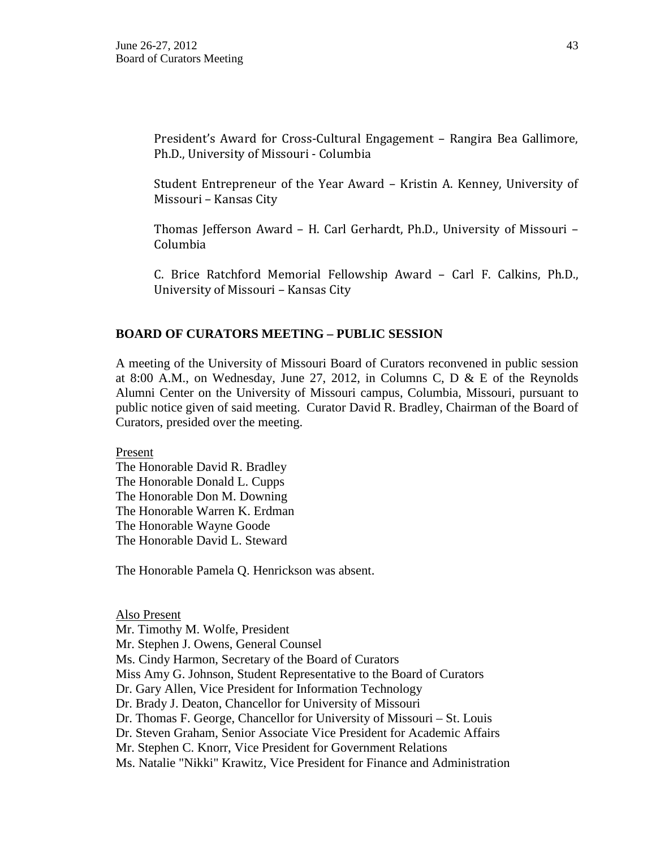President's Award for Cross-Cultural Engagement – Rangira Bea Gallimore, Ph.D., University of Missouri - Columbia

Student Entrepreneur of the Year Award – Kristin A. Kenney, University of Missouri – Kansas City

Thomas Jefferson Award – H. Carl Gerhardt, Ph.D., University of Missouri – Columbia

C. Brice Ratchford Memorial Fellowship Award – Carl F. Calkins, Ph.D., University of Missouri – Kansas City

### **BOARD OF CURATORS MEETING – PUBLIC SESSION**

A meeting of the University of Missouri Board of Curators reconvened in public session at 8:00 A.M., on Wednesday, June 27, 2012, in Columns C, D  $\&$  E of the Reynolds Alumni Center on the University of Missouri campus, Columbia, Missouri, pursuant to public notice given of said meeting. Curator David R. Bradley, Chairman of the Board of Curators, presided over the meeting.

Present

The Honorable David R. Bradley The Honorable Donald L. Cupps The Honorable Don M. Downing The Honorable Warren K. Erdman The Honorable Wayne Goode The Honorable David L. Steward

The Honorable Pamela Q. Henrickson was absent.

Also Present Mr. Timothy M. Wolfe, President Mr. Stephen J. Owens, General Counsel Ms. Cindy Harmon, Secretary of the Board of Curators Miss Amy G. Johnson, Student Representative to the Board of Curators Dr. Gary Allen, Vice President for Information Technology Dr. Brady J. Deaton, Chancellor for University of Missouri Dr. Thomas F. George, Chancellor for University of Missouri – St. Louis Dr. Steven Graham, Senior Associate Vice President for Academic Affairs Mr. Stephen C. Knorr, Vice President for Government Relations Ms. Natalie "Nikki" Krawitz, Vice President for Finance and Administration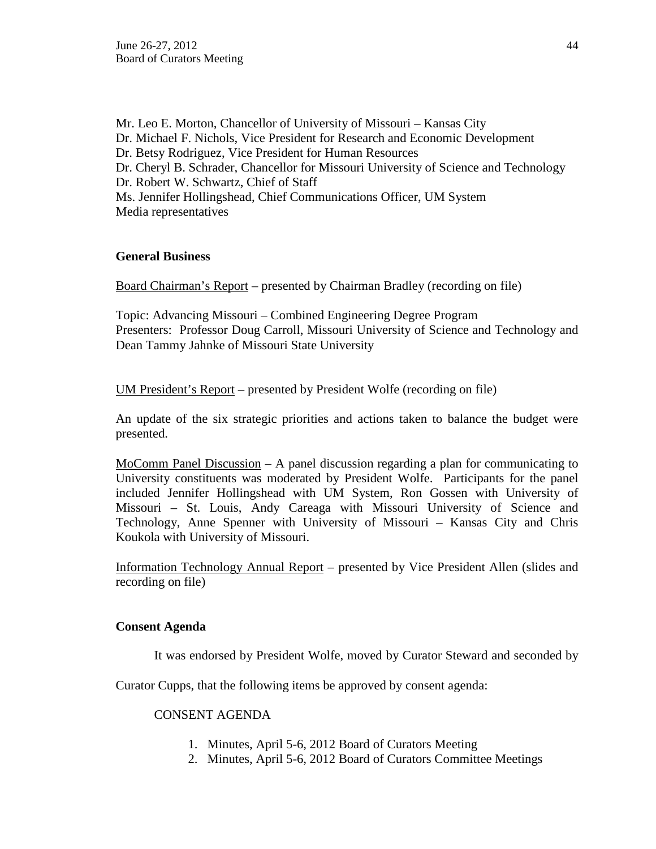Mr. Leo E. Morton, Chancellor of University of Missouri – Kansas City Dr. Michael F. Nichols, Vice President for Research and Economic Development Dr. Betsy Rodriguez, Vice President for Human Resources Dr. Cheryl B. Schrader, Chancellor for Missouri University of Science and Technology Dr. Robert W. Schwartz, Chief of Staff Ms. Jennifer Hollingshead, Chief Communications Officer, UM System Media representatives

### **General Business**

Board Chairman's Report – presented by Chairman Bradley (recording on file)

Topic: Advancing Missouri – Combined Engineering Degree Program Presenters: Professor Doug Carroll, Missouri University of Science and Technology and Dean Tammy Jahnke of Missouri State University

UM President's Report – presented by President Wolfe (recording on file)

An update of the six strategic priorities and actions taken to balance the budget were presented.

MoComm Panel Discussion – A panel discussion regarding a plan for communicating to University constituents was moderated by President Wolfe. Participants for the panel included Jennifer Hollingshead with UM System, Ron Gossen with University of Missouri – St. Louis, Andy Careaga with Missouri University of Science and Technology, Anne Spenner with University of Missouri – Kansas City and Chris Koukola with University of Missouri.

Information Technology Annual Report – presented by Vice President Allen (slides and recording on file)

### **Consent Agenda**

It was endorsed by President Wolfe, moved by Curator Steward and seconded by

Curator Cupps, that the following items be approved by consent agenda:

#### CONSENT AGENDA

- 1. Minutes, April 5-6, 2012 Board of Curators Meeting
- 2. Minutes, April 5-6, 2012 Board of Curators Committee Meetings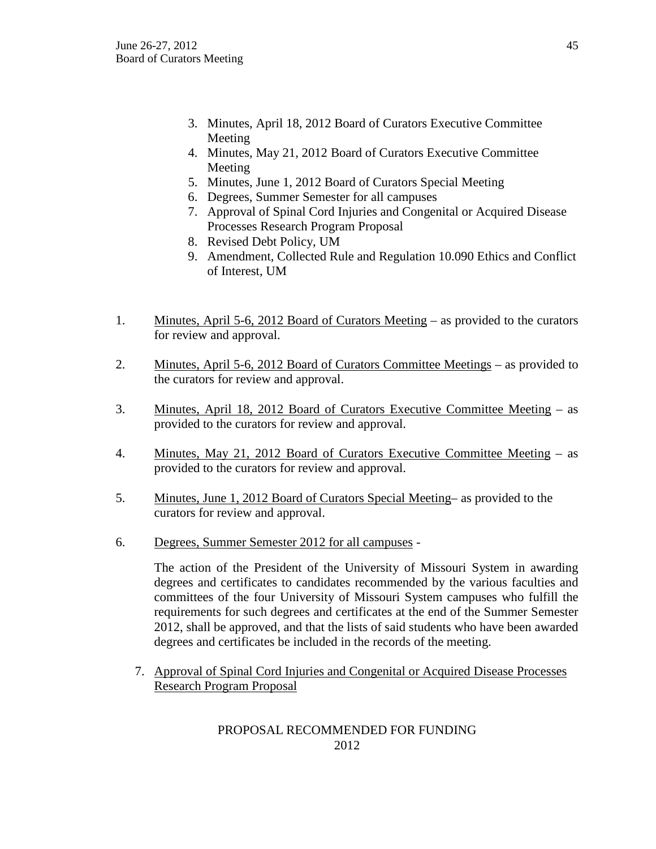- 3. Minutes, April 18, 2012 Board of Curators Executive Committee Meeting
- 4. Minutes, May 21, 2012 Board of Curators Executive Committee Meeting
- 5. Minutes, June 1, 2012 Board of Curators Special Meeting
- 6. Degrees, Summer Semester for all campuses
- 7. Approval of Spinal Cord Injuries and Congenital or Acquired Disease Processes Research Program Proposal
- 8. Revised Debt Policy, UM
- 9. Amendment, Collected Rule and Regulation 10.090 Ethics and Conflict of Interest, UM
- 1. Minutes, April 5-6, 2012 Board of Curators Meeting as provided to the curators for review and approval.
- 2. Minutes, April 5-6, 2012 Board of Curators Committee Meetings as provided to the curators for review and approval.
- 3. Minutes, April 18, 2012 Board of Curators Executive Committee Meeting as provided to the curators for review and approval.
- 4. Minutes, May 21, 2012 Board of Curators Executive Committee Meeting as provided to the curators for review and approval.
- 5. Minutes, June 1, 2012 Board of Curators Special Meeting– as provided to the curators for review and approval.
- 6. Degrees, Summer Semester 2012 for all campuses -

The action of the President of the University of Missouri System in awarding degrees and certificates to candidates recommended by the various faculties and committees of the four University of Missouri System campuses who fulfill the requirements for such degrees and certificates at the end of the Summer Semester 2012, shall be approved, and that the lists of said students who have been awarded degrees and certificates be included in the records of the meeting.

7. Approval of Spinal Cord Injuries and Congenital or Acquired Disease Processes Research Program Proposal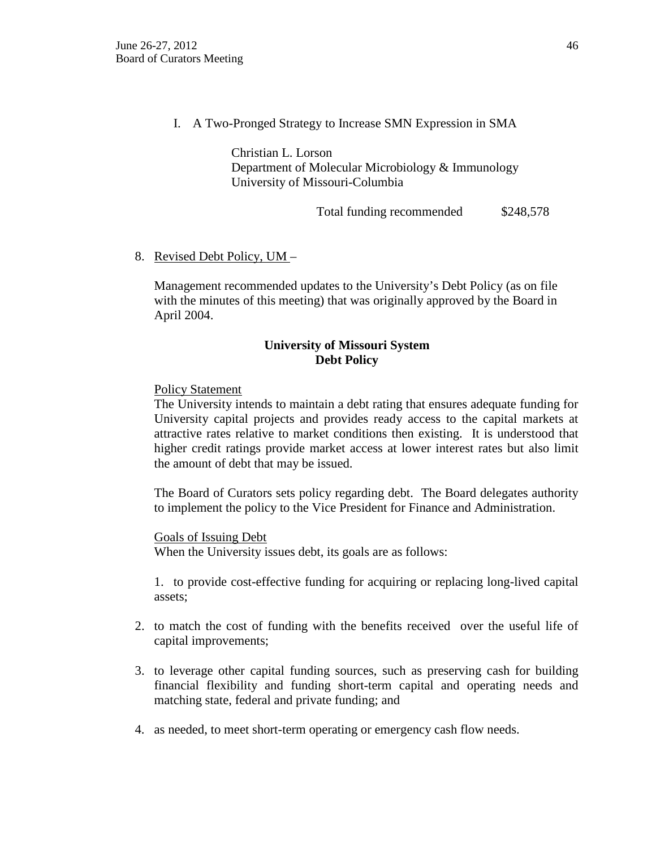I. A Two-Pronged Strategy to Increase SMN Expression in SMA

Christian L. Lorson Department of Molecular Microbiology & Immunology University of Missouri-Columbia

Total funding recommended  $$248,578$ 

## 8. Revised Debt Policy, UM –

Management recommended updates to the University's Debt Policy (as on file with the minutes of this meeting) that was originally approved by the Board in April 2004.

## **University of Missouri System Debt Policy**

### Policy Statement

The University intends to maintain a debt rating that ensures adequate funding for University capital projects and provides ready access to the capital markets at attractive rates relative to market conditions then existing. It is understood that higher credit ratings provide market access at lower interest rates but also limit the amount of debt that may be issued.

The Board of Curators sets policy regarding debt. The Board delegates authority to implement the policy to the Vice President for Finance and Administration.

#### Goals of Issuing Debt

When the University issues debt, its goals are as follows:

1. to provide cost-effective funding for acquiring or replacing long-lived capital assets;

- 2. to match the cost of funding with the benefits received over the useful life of capital improvements;
- 3. to leverage other capital funding sources, such as preserving cash for building financial flexibility and funding short-term capital and operating needs and matching state, federal and private funding; and
- 4. as needed, to meet short-term operating or emergency cash flow needs.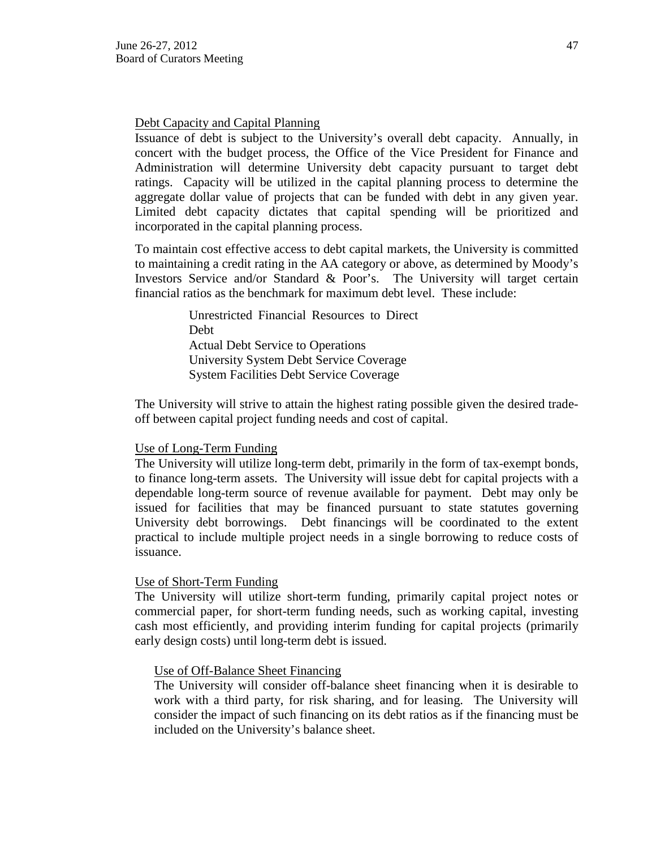#### Debt Capacity and Capital Planning

Issuance of debt is subject to the University's overall debt capacity. Annually, in concert with the budget process, the Office of the Vice President for Finance and Administration will determine University debt capacity pursuant to target debt ratings. Capacity will be utilized in the capital planning process to determine the aggregate dollar value of projects that can be funded with debt in any given year. Limited debt capacity dictates that capital spending will be prioritized and incorporated in the capital planning process.

To maintain cost effective access to debt capital markets, the University is committed to maintaining a credit rating in the AA category or above, as determined by Moody's Investors Service and/or Standard & Poor's. The University will target certain financial ratios as the benchmark for maximum debt level. These include:

> Unrestricted Financial Resources to Direct Debt Actual Debt Service to Operations University System Debt Service Coverage System Facilities Debt Service Coverage

The University will strive to attain the highest rating possible given the desired tradeoff between capital project funding needs and cost of capital.

#### Use of Long-Term Funding

The University will utilize long-term debt, primarily in the form of tax-exempt bonds, to finance long-term assets. The University will issue debt for capital projects with a dependable long-term source of revenue available for payment. Debt may only be issued for facilities that may be financed pursuant to state statutes governing University debt borrowings. Debt financings will be coordinated to the extent practical to include multiple project needs in a single borrowing to reduce costs of issuance.

#### Use of Short-Term Funding

The University will utilize short-term funding, primarily capital project notes or commercial paper, for short-term funding needs, such as working capital, investing cash most efficiently, and providing interim funding for capital projects (primarily early design costs) until long-term debt is issued.

#### Use of Off-Balance Sheet Financing

The University will consider off-balance sheet financing when it is desirable to work with a third party, for risk sharing, and for leasing. The University will consider the impact of such financing on its debt ratios as if the financing must be included on the University's balance sheet.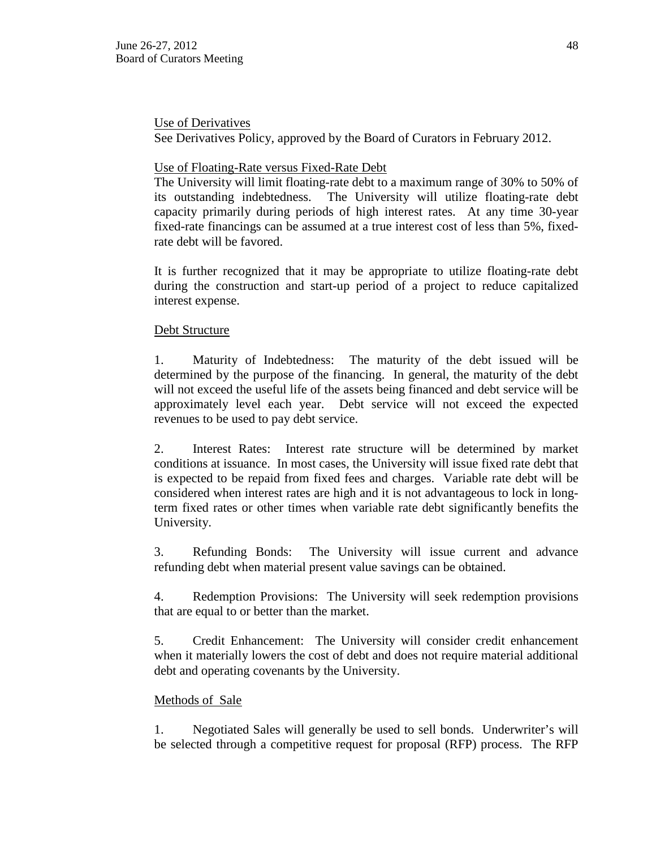### Use of Derivatives

See Derivatives Policy, approved by the Board of Curators in February 2012.

## Use of Floating-Rate versus Fixed-Rate Debt

The University will limit floating-rate debt to a maximum range of 30% to 50% of its outstanding indebtedness. The University will utilize floating-rate debt capacity primarily during periods of high interest rates. At any time 30-year fixed-rate financings can be assumed at a true interest cost of less than 5%, fixedrate debt will be favored.

It is further recognized that it may be appropriate to utilize floating-rate debt during the construction and start-up period of a project to reduce capitalized interest expense.

## Debt Structure

1. Maturity of Indebtedness: The maturity of the debt issued will be determined by the purpose of the financing. In general, the maturity of the debt will not exceed the useful life of the assets being financed and debt service will be approximately level each year. Debt service will not exceed the expected revenues to be used to pay debt service.

2. Interest Rates: Interest rate structure will be determined by market conditions at issuance. In most cases, the University will issue fixed rate debt that is expected to be repaid from fixed fees and charges. Variable rate debt will be considered when interest rates are high and it is not advantageous to lock in longterm fixed rates or other times when variable rate debt significantly benefits the University.

3. Refunding Bonds: The University will issue current and advance refunding debt when material present value savings can be obtained.

4. Redemption Provisions: The University will seek redemption provisions that are equal to or better than the market.

5. Credit Enhancement: The University will consider credit enhancement when it materially lowers the cost of debt and does not require material additional debt and operating covenants by the University.

### Methods of Sale

1. Negotiated Sales will generally be used to sell bonds. Underwriter's will be selected through a competitive request for proposal (RFP) process. The RFP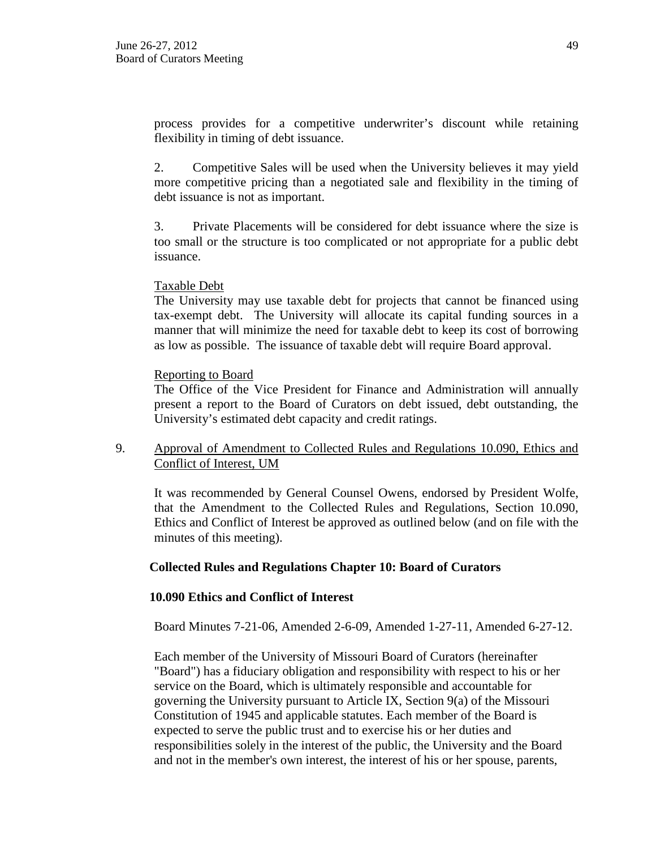process provides for a competitive underwriter's discount while retaining flexibility in timing of debt issuance.

2. Competitive Sales will be used when the University believes it may yield more competitive pricing than a negotiated sale and flexibility in the timing of debt issuance is not as important.

3. Private Placements will be considered for debt issuance where the size is too small or the structure is too complicated or not appropriate for a public debt issuance.

### Taxable Debt

The University may use taxable debt for projects that cannot be financed using tax-exempt debt. The University will allocate its capital funding sources in a manner that will minimize the need for taxable debt to keep its cost of borrowing as low as possible. The issuance of taxable debt will require Board approval.

### Reporting to Board

The Office of the Vice President for Finance and Administration will annually present a report to the Board of Curators on debt issued, debt outstanding, the University's estimated debt capacity and credit ratings.

## 9. Approval of Amendment to Collected Rules and Regulations 10.090, Ethics and Conflict of Interest, UM

It was recommended by General Counsel Owens, endorsed by President Wolfe, that the Amendment to the Collected Rules and Regulations, Section 10.090, Ethics and Conflict of Interest be approved as outlined below (and on file with the minutes of this meeting).

### **Collected Rules and Regulations Chapter 10: Board of Curators**

### **10.090 Ethics and Conflict of Interest**

Board Minutes 7-21-06, Amended 2-6-09, Amended 1-27-11, Amended 6-27-12.

Each member of the University of Missouri Board of Curators (hereinafter "Board") has a fiduciary obligation and responsibility with respect to his or her service on the Board, which is ultimately responsible and accountable for governing the University pursuant to Article IX, Section 9(a) of the Missouri Constitution of 1945 and applicable statutes. Each member of the Board is expected to serve the public trust and to exercise his or her duties and responsibilities solely in the interest of the public, the University and the Board and not in the member's own interest, the interest of his or her spouse, parents,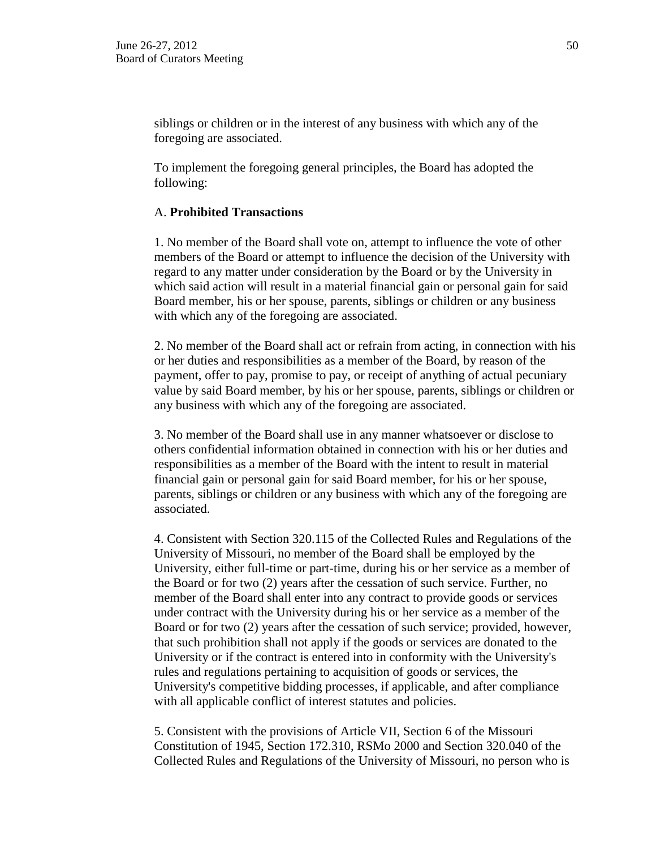siblings or children or in the interest of any business with which any of the foregoing are associated.

To implement the foregoing general principles, the Board has adopted the following:

### A. **Prohibited Transactions**

1. No member of the Board shall vote on, attempt to influence the vote of other members of the Board or attempt to influence the decision of the University with regard to any matter under consideration by the Board or by the University in which said action will result in a material financial gain or personal gain for said Board member, his or her spouse, parents, siblings or children or any business with which any of the foregoing are associated.

2. No member of the Board shall act or refrain from acting, in connection with his or her duties and responsibilities as a member of the Board, by reason of the payment, offer to pay, promise to pay, or receipt of anything of actual pecuniary value by said Board member, by his or her spouse, parents, siblings or children or any business with which any of the foregoing are associated.

3. No member of the Board shall use in any manner whatsoever or disclose to others confidential information obtained in connection with his or her duties and responsibilities as a member of the Board with the intent to result in material financial gain or personal gain for said Board member, for his or her spouse, parents, siblings or children or any business with which any of the foregoing are associated.

4. Consistent with Section 320.115 of the Collected Rules and Regulations of the University of Missouri, no member of the Board shall be employed by the University, either full-time or part-time, during his or her service as a member of the Board or for two (2) years after the cessation of such service. Further, no member of the Board shall enter into any contract to provide goods or services under contract with the University during his or her service as a member of the Board or for two (2) years after the cessation of such service; provided, however, that such prohibition shall not apply if the goods or services are donated to the University or if the contract is entered into in conformity with the University's rules and regulations pertaining to acquisition of goods or services, the University's competitive bidding processes, if applicable, and after compliance with all applicable conflict of interest statutes and policies.

5. Consistent with the provisions of Article VII, Section 6 of the Missouri Constitution of 1945, Section 172.310, RSMo 2000 and Section 320.040 of the Collected Rules and Regulations of the University of Missouri, no person who is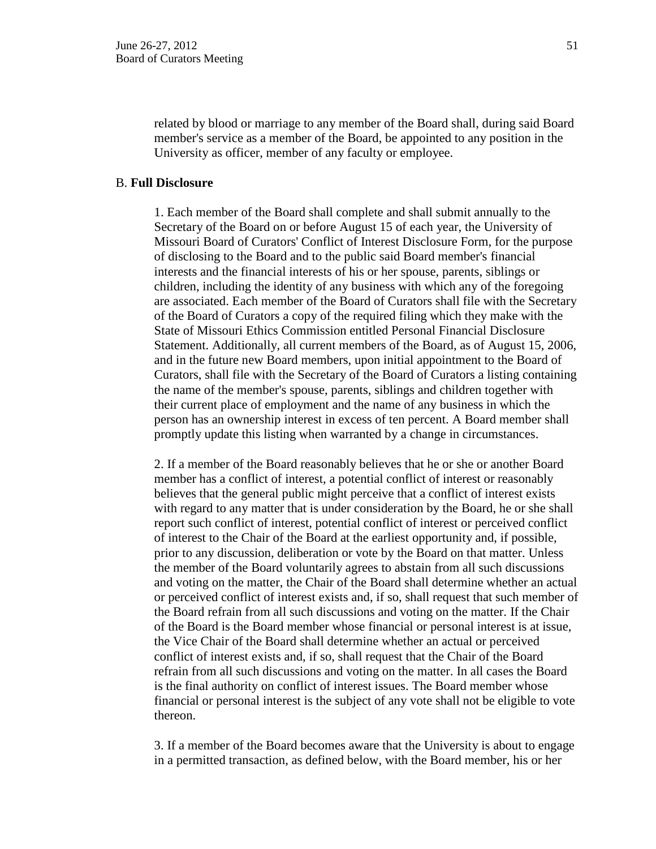related by blood or marriage to any member of the Board shall, during said Board member's service as a member of the Board, be appointed to any position in the University as officer, member of any faculty or employee.

#### B. **Full Disclosure**

1. Each member of the Board shall complete and shall submit annually to the Secretary of the Board on or before August 15 of each year, the University of Missouri Board of Curators' Conflict of Interest Disclosure Form, for the purpose of disclosing to the Board and to the public said Board member's financial interests and the financial interests of his or her spouse, parents, siblings or children, including the identity of any business with which any of the foregoing are associated. Each member of the Board of Curators shall file with the Secretary of the Board of Curators a copy of the required filing which they make with the State of Missouri Ethics Commission entitled Personal Financial Disclosure Statement. Additionally, all current members of the Board, as of August 15, 2006, and in the future new Board members, upon initial appointment to the Board of Curators, shall file with the Secretary of the Board of Curators a listing containing the name of the member's spouse, parents, siblings and children together with their current place of employment and the name of any business in which the person has an ownership interest in excess of ten percent. A Board member shall promptly update this listing when warranted by a change in circumstances.

2. If a member of the Board reasonably believes that he or she or another Board member has a conflict of interest, a potential conflict of interest or reasonably believes that the general public might perceive that a conflict of interest exists with regard to any matter that is under consideration by the Board, he or she shall report such conflict of interest, potential conflict of interest or perceived conflict of interest to the Chair of the Board at the earliest opportunity and, if possible, prior to any discussion, deliberation or vote by the Board on that matter. Unless the member of the Board voluntarily agrees to abstain from all such discussions and voting on the matter, the Chair of the Board shall determine whether an actual or perceived conflict of interest exists and, if so, shall request that such member of the Board refrain from all such discussions and voting on the matter. If the Chair of the Board is the Board member whose financial or personal interest is at issue, the Vice Chair of the Board shall determine whether an actual or perceived conflict of interest exists and, if so, shall request that the Chair of the Board refrain from all such discussions and voting on the matter. In all cases the Board is the final authority on conflict of interest issues. The Board member whose financial or personal interest is the subject of any vote shall not be eligible to vote thereon.

3. If a member of the Board becomes aware that the University is about to engage in a permitted transaction, as defined below, with the Board member, his or her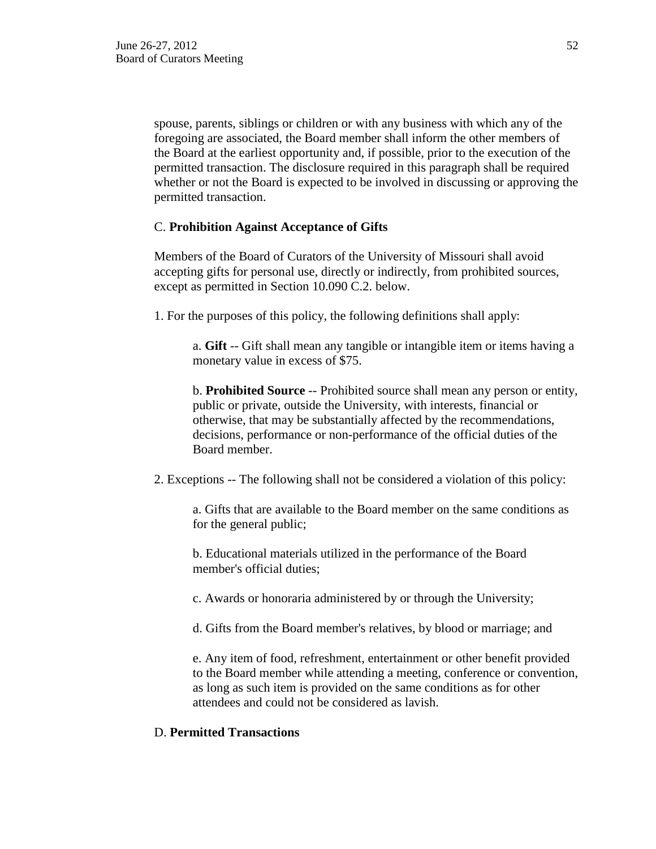spouse, parents, siblings or children or with any business with which any of the foregoing are associated, the Board member shall inform the other members of the Board at the earliest opportunity and, if possible, prior to the execution of the permitted transaction. The disclosure required in this paragraph shall be required whether or not the Board is expected to be involved in discussing or approving the permitted transaction.

### C. **Prohibition Against Acceptance of Gifts**

Members of the Board of Curators of the University of Missouri shall avoid accepting gifts for personal use, directly or indirectly, from prohibited sources, except as permitted in Section 10.090 C.2. below.

1. For the purposes of this policy, the following definitions shall apply:

a. **Gift** -- Gift shall mean any tangible or intangible item or items having a monetary value in excess of \$75.

b. **Prohibited Source** -- Prohibited source shall mean any person or entity, public or private, outside the University, with interests, financial or otherwise, that may be substantially affected by the recommendations, decisions, performance or non-performance of the official duties of the Board member.

2. Exceptions -- The following shall not be considered a violation of this policy:

a. Gifts that are available to the Board member on the same conditions as for the general public;

b. Educational materials utilized in the performance of the Board member's official duties;

c. Awards or honoraria administered by or through the University;

d. Gifts from the Board member's relatives, by blood or marriage; and

e. Any item of food, refreshment, entertainment or other benefit provided to the Board member while attending a meeting, conference or convention, as long as such item is provided on the same conditions as for other attendees and could not be considered as lavish.

## D. **Permitted Transactions**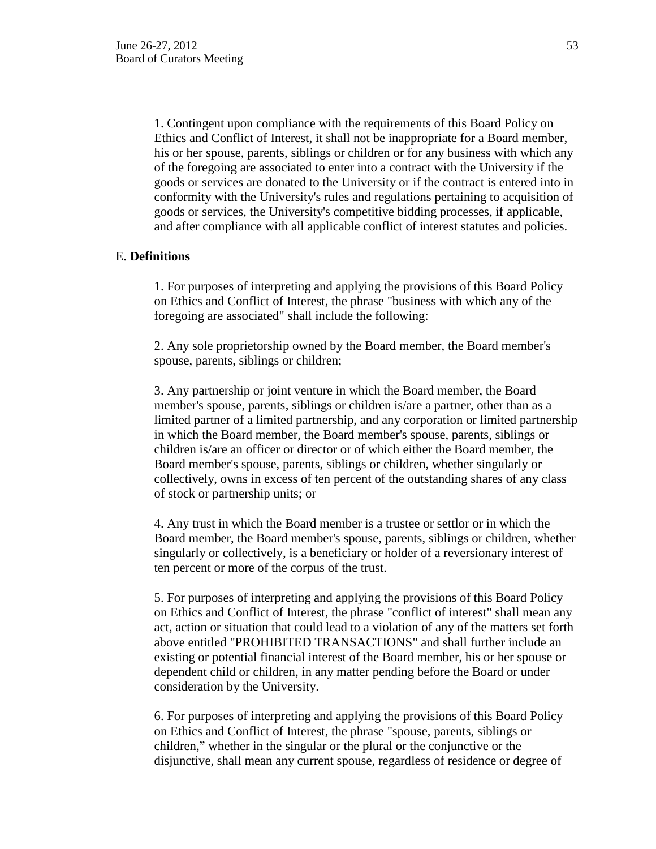1. Contingent upon compliance with the requirements of this Board Policy on Ethics and Conflict of Interest, it shall not be inappropriate for a Board member, his or her spouse, parents, siblings or children or for any business with which any of the foregoing are associated to enter into a contract with the University if the goods or services are donated to the University or if the contract is entered into in conformity with the University's rules and regulations pertaining to acquisition of goods or services, the University's competitive bidding processes, if applicable, and after compliance with all applicable conflict of interest statutes and policies.

### E. **Definitions**

1. For purposes of interpreting and applying the provisions of this Board Policy on Ethics and Conflict of Interest, the phrase "business with which any of the foregoing are associated" shall include the following:

2. Any sole proprietorship owned by the Board member, the Board member's spouse, parents, siblings or children;

3. Any partnership or joint venture in which the Board member, the Board member's spouse, parents, siblings or children is/are a partner, other than as a limited partner of a limited partnership, and any corporation or limited partnership in which the Board member, the Board member's spouse, parents, siblings or children is/are an officer or director or of which either the Board member, the Board member's spouse, parents, siblings or children, whether singularly or collectively, owns in excess of ten percent of the outstanding shares of any class of stock or partnership units; or

4. Any trust in which the Board member is a trustee or settlor or in which the Board member, the Board member's spouse, parents, siblings or children, whether singularly or collectively, is a beneficiary or holder of a reversionary interest of ten percent or more of the corpus of the trust.

5. For purposes of interpreting and applying the provisions of this Board Policy on Ethics and Conflict of Interest, the phrase "conflict of interest" shall mean any act, action or situation that could lead to a violation of any of the matters set forth above entitled "PROHIBITED TRANSACTIONS" and shall further include an existing or potential financial interest of the Board member, his or her spouse or dependent child or children, in any matter pending before the Board or under consideration by the University.

6. For purposes of interpreting and applying the provisions of this Board Policy on Ethics and Conflict of Interest, the phrase "spouse, parents, siblings or children," whether in the singular or the plural or the conjunctive or the disjunctive, shall mean any current spouse, regardless of residence or degree of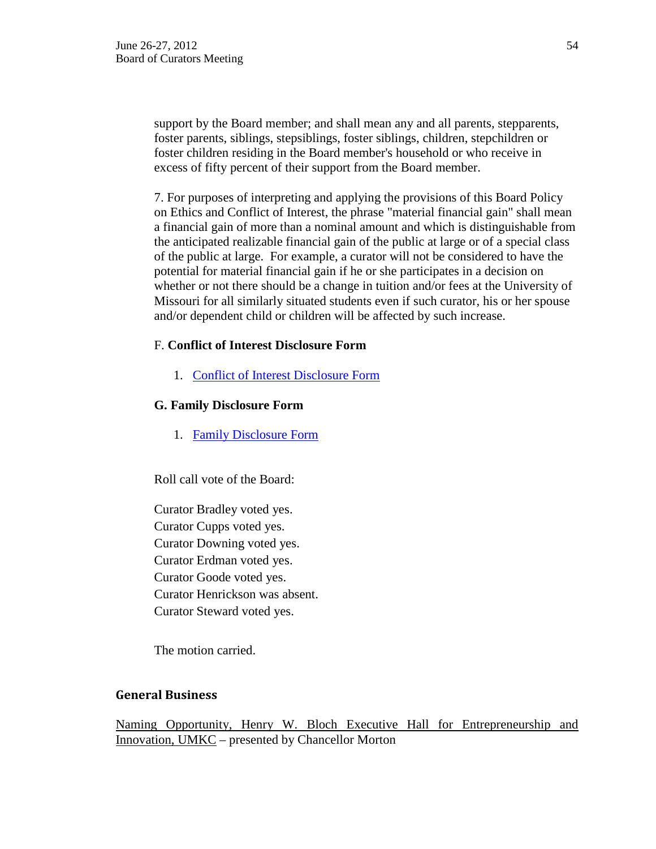support by the Board member; and shall mean any and all parents, stepparents, foster parents, siblings, stepsiblings, foster siblings, children, stepchildren or foster children residing in the Board member's household or who receive in excess of fifty percent of their support from the Board member.

7. For purposes of interpreting and applying the provisions of this Board Policy on Ethics and Conflict of Interest, the phrase "material financial gain" shall mean a financial gain of more than a nominal amount and which is distinguishable from the anticipated realizable financial gain of the public at large or of a special class of the public at large. For example, a curator will not be considered to have the potential for material financial gain if he or she participates in a decision on whether or not there should be a change in tuition and/or fees at the University of Missouri for all similarly situated students even if such curator, his or her spouse and/or dependent child or children will be affected by such increase.

### F. **Conflict of Interest Disclosure Form**

1. Conflict of Interest Disclosure Form

### **G. Family Disclosure Form**

1. Family Disclosure Form

Roll call vote of the Board:

Curator Bradley voted yes. Curator Cupps voted yes. Curator Downing voted yes. Curator Erdman voted yes. Curator Goode voted yes. Curator Henrickson was absent. Curator Steward voted yes.

The motion carried.

### **General Business**

Naming Opportunity, Henry W. Bloch Executive Hall for Entrepreneurship and Innovation, UMKC – presented by Chancellor Morton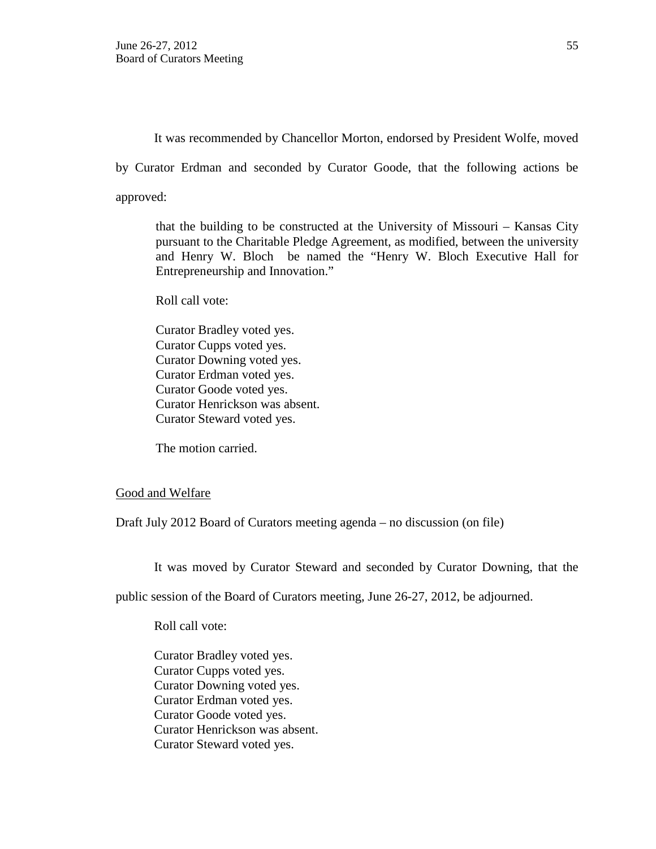It was recommended by Chancellor Morton, endorsed by President Wolfe, moved

by Curator Erdman and seconded by Curator Goode, that the following actions be

approved:

that the building to be constructed at the University of Missouri – Kansas City pursuant to the Charitable Pledge Agreement, as modified, between the university and Henry W. Bloch be named the "Henry W. Bloch Executive Hall for Entrepreneurship and Innovation."

Roll call vote:

Curator Bradley voted yes. Curator Cupps voted yes. Curator Downing voted yes. Curator Erdman voted yes. Curator Goode voted yes. Curator Henrickson was absent. Curator Steward voted yes.

The motion carried.

## Good and Welfare

Draft July 2012 Board of Curators meeting agenda – no discussion (on file)

It was moved by Curator Steward and seconded by Curator Downing, that the

public session of the Board of Curators meeting, June 26-27, 2012, be adjourned.

Roll call vote:

Curator Bradley voted yes. Curator Cupps voted yes. Curator Downing voted yes. Curator Erdman voted yes. Curator Goode voted yes. Curator Henrickson was absent. Curator Steward voted yes.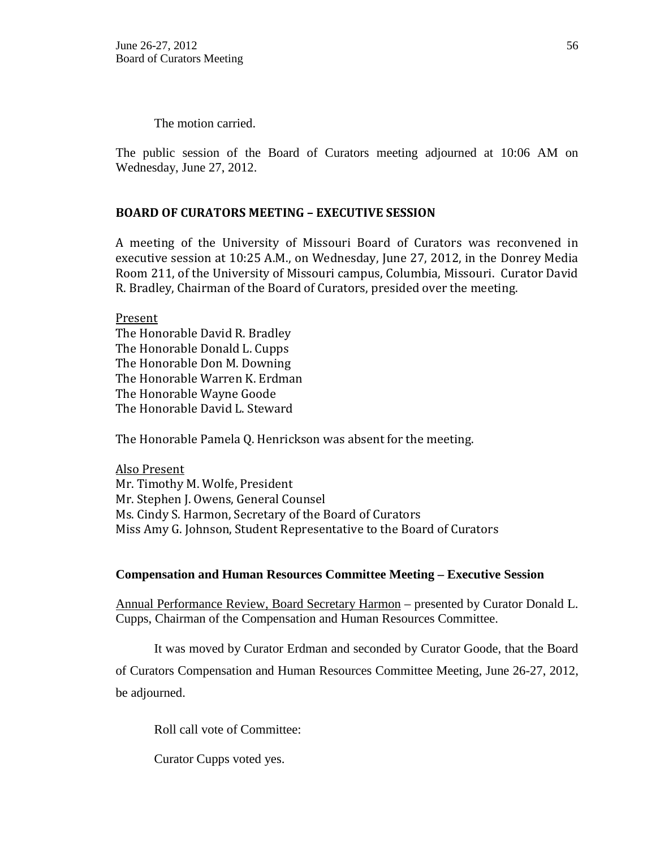The motion carried.

The public session of the Board of Curators meeting adjourned at 10:06 AM on Wednesday, June 27, 2012.

## **BOARD OF CURATORS MEETING – EXECUTIVE SESSION**

A meeting of the University of Missouri Board of Curators was reconvened in executive session at 10:25 A.M., on Wednesday, June 27, 2012, in the Donrey Media Room 211, of the University of Missouri campus, Columbia, Missouri. Curator David R. Bradley, Chairman of the Board of Curators, presided over the meeting.

Present The Honorable David R. Bradley The Honorable Donald L. Cupps The Honorable Don M. Downing The Honorable Warren K. Erdman The Honorable Wayne Goode The Honorable David L. Steward

The Honorable Pamela Q. Henrickson was absent for the meeting.

Also Present Mr. Timothy M. Wolfe, President Mr. Stephen J. Owens, General Counsel Ms. Cindy S. Harmon, Secretary of the Board of Curators Miss Amy G. Johnson, Student Representative to the Board of Curators

### **Compensation and Human Resources Committee Meeting – Executive Session**

Annual Performance Review, Board Secretary Harmon – presented by Curator Donald L. Cupps, Chairman of the Compensation and Human Resources Committee.

It was moved by Curator Erdman and seconded by Curator Goode, that the Board

of Curators Compensation and Human Resources Committee Meeting, June 26-27, 2012, be adjourned.

Roll call vote of Committee:

Curator Cupps voted yes.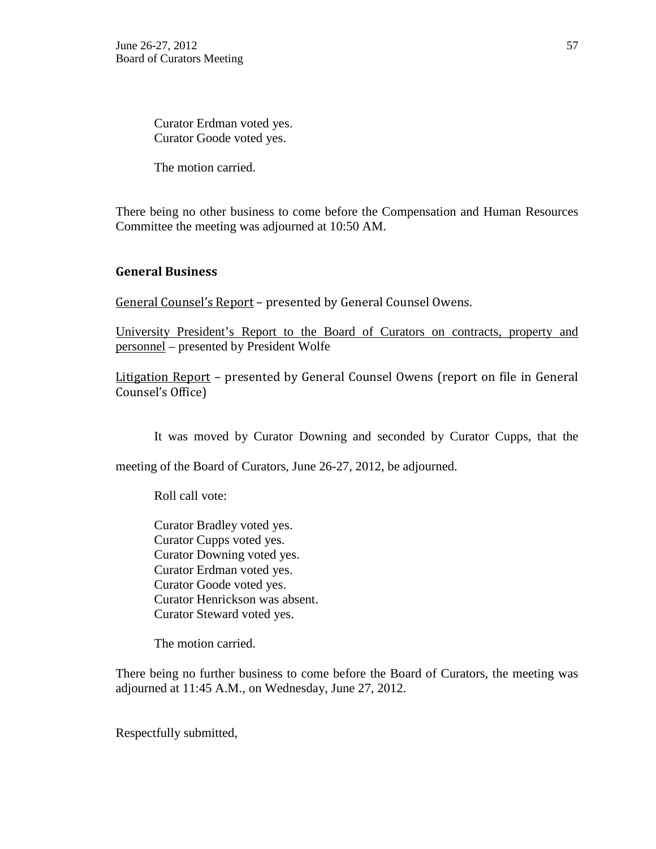Curator Erdman voted yes. Curator Goode voted yes.

The motion carried.

There being no other business to come before the Compensation and Human Resources Committee the meeting was adjourned at 10:50 AM.

### **General Business**

General Counsel's Report – presented by General Counsel Owens.

University President's Report to the Board of Curators on contracts, property and personnel – presented by President Wolfe

Litigation Report – presented by General Counsel Owens (report on file in General Counsel's Office)

It was moved by Curator Downing and seconded by Curator Cupps, that the

meeting of the Board of Curators, June 26-27, 2012, be adjourned.

Roll call vote:

Curator Bradley voted yes. Curator Cupps voted yes. Curator Downing voted yes. Curator Erdman voted yes. Curator Goode voted yes. Curator Henrickson was absent. Curator Steward voted yes.

The motion carried.

There being no further business to come before the Board of Curators, the meeting was adjourned at 11:45 A.M., on Wednesday, June 27, 2012.

Respectfully submitted,